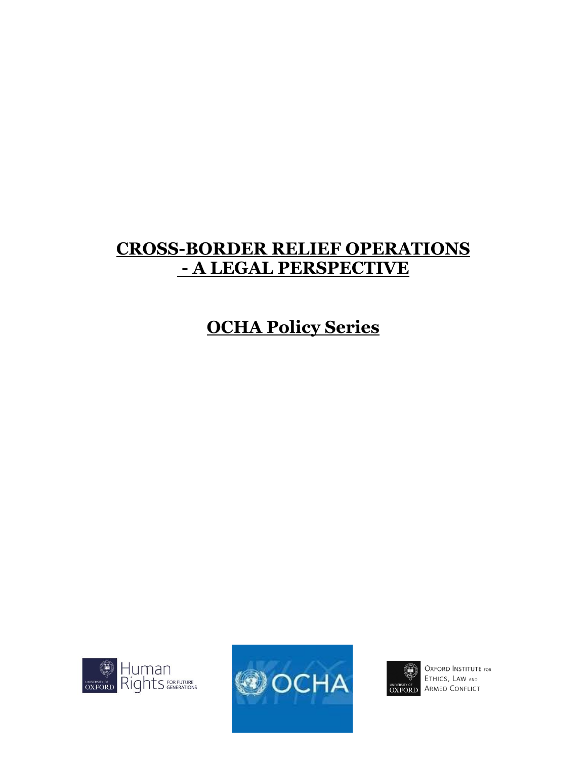## **CROSS-BORDER RELIEF OPERATIONS - A LEGAL PERSPECTIVE**

# **OCHA Policy Series**







**OXFORD INSTITUTE FOR** ETHICS, LAW AND **OXFORD** ARMED CONFLICT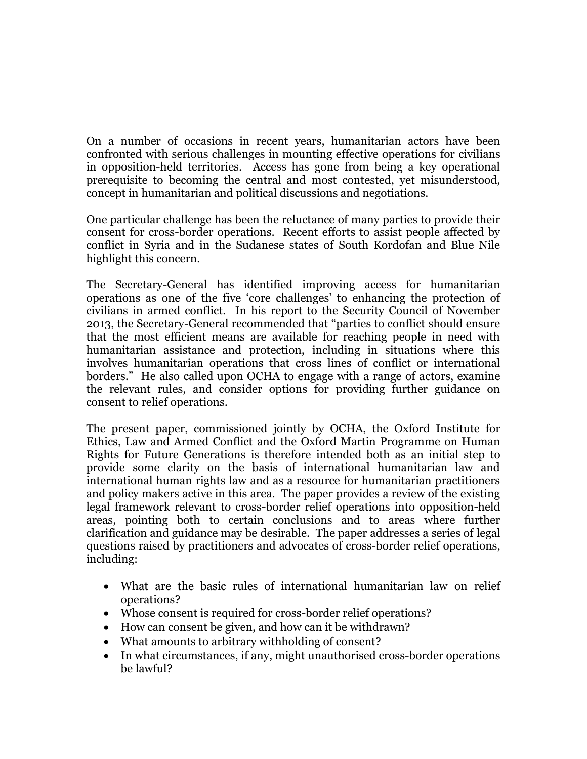On a number of occasions in recent years, humanitarian actors have been confronted with serious challenges in mounting effective operations for civilians in opposition-held territories. Access has gone from being a key operational prerequisite to becoming the central and most contested, yet misunderstood, concept in humanitarian and political discussions and negotiations.

One particular challenge has been the reluctance of many parties to provide their consent for cross-border operations. Recent efforts to assist people affected by conflict in Syria and in the Sudanese states of South Kordofan and Blue Nile highlight this concern.

The Secretary-General has identified improving access for humanitarian operations as one of the five 'core challenges' to enhancing the protection of civilians in armed conflict. In his report to the Security Council of November 2013, the Secretary-General recommended that "parties to conflict should ensure that the most efficient means are available for reaching people in need with humanitarian assistance and protection, including in situations where this involves humanitarian operations that cross lines of conflict or international borders." He also called upon OCHA to engage with a range of actors, examine the relevant rules, and consider options for providing further guidance on consent to relief operations.

The present paper, commissioned jointly by OCHA, the Oxford Institute for Ethics, Law and Armed Conflict and the Oxford Martin Programme on Human Rights for Future Generations is therefore intended both as an initial step to provide some clarity on the basis of international humanitarian law and international human rights law and as a resource for humanitarian practitioners and policy makers active in this area. The paper provides a review of the existing legal framework relevant to cross-border relief operations into opposition-held areas, pointing both to certain conclusions and to areas where further clarification and guidance may be desirable. The paper addresses a series of legal questions raised by practitioners and advocates of cross-border relief operations, including:

- What are the basic rules of international humanitarian law on relief operations?
- Whose consent is required for cross-border relief operations?
- How can consent be given, and how can it be withdrawn?
- What amounts to arbitrary withholding of consent?
- In what circumstances, if any, might unauthorised cross-border operations be lawful?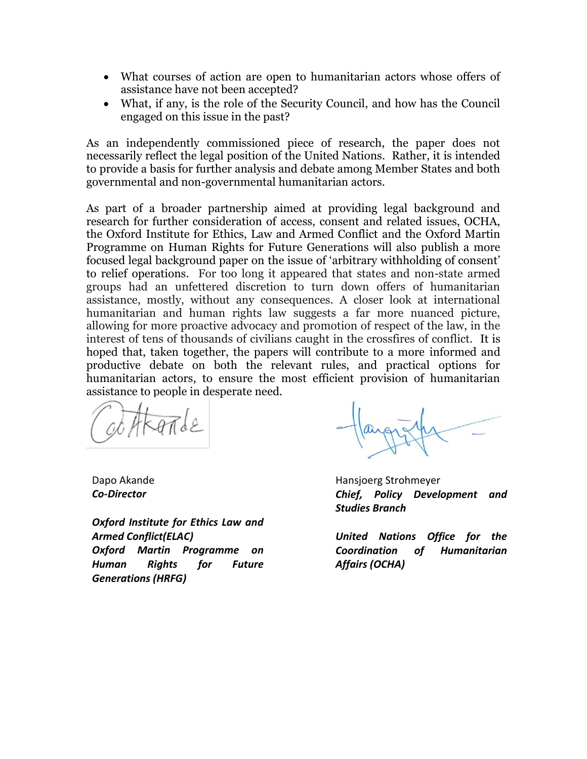- What courses of action are open to humanitarian actors whose offers of assistance have not been accepted?
- What, if any, is the role of the Security Council, and how has the Council engaged on this issue in the past?

As an independently commissioned piece of research, the paper does not necessarily reflect the legal position of the United Nations. Rather, it is intended to provide a basis for further analysis and debate among Member States and both governmental and non-governmental humanitarian actors.

As part of a broader partnership aimed at providing legal background and research for further consideration of access, consent and related issues, OCHA, the Oxford Institute for Ethics, Law and Armed Conflict and the Oxford Martin Programme on Human Rights for Future Generations will also publish a more focused legal background paper on the issue of 'arbitrary withholding of consent' to relief operations. For too long it appeared that states and non-state armed groups had an unfettered discretion to turn down offers of humanitarian assistance, mostly, without any consequences. A closer look at international humanitarian and human rights law suggests a far more nuanced picture, allowing for more proactive advocacy and promotion of respect of the law, in the interest of tens of thousands of civilians caught in the crossfires of conflict. It is hoped that, taken together, the papers will contribute to a more informed and productive debate on both the relevant rules, and practical options for humanitarian actors, to ensure the most efficient provision of humanitarian assistance to people in desperate need.

TRATTLE

Dapo Akande *Co-Director*

*Oxford Institute for Ethics Law and Armed Conflict(ELAC) Oxford Martin Programme on Human Rights for Future Generations (HRFG)*

Hansjoerg Strohmeyer *Chief, Policy Development and Studies Branch*

*United Nations Office for the Coordination of Humanitarian Affairs (OCHA)*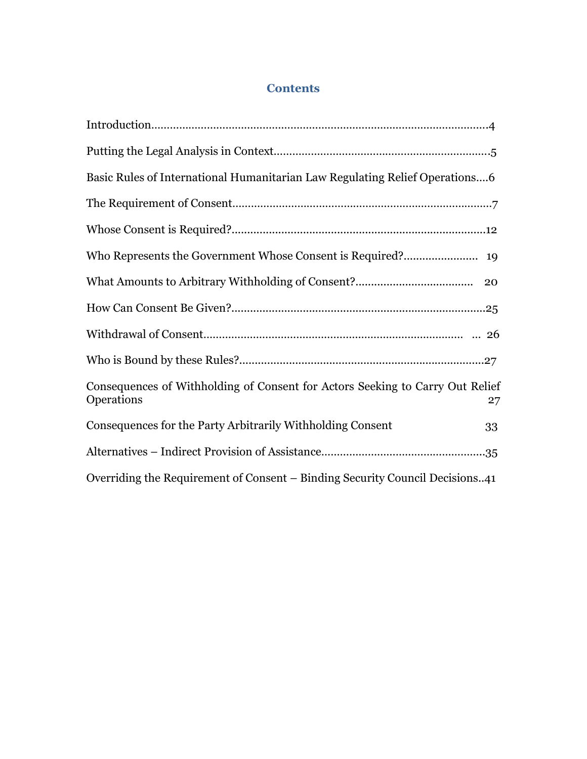## **Contents**

| Basic Rules of International Humanitarian Law Regulating Relief Operations6                       |
|---------------------------------------------------------------------------------------------------|
|                                                                                                   |
|                                                                                                   |
|                                                                                                   |
|                                                                                                   |
|                                                                                                   |
|                                                                                                   |
|                                                                                                   |
| Consequences of Withholding of Consent for Actors Seeking to Carry Out Relief<br>Operations<br>27 |
| Consequences for the Party Arbitrarily Withholding Consent<br>33                                  |
|                                                                                                   |
| Overriding the Requirement of Consent – Binding Security Council Decisions41                      |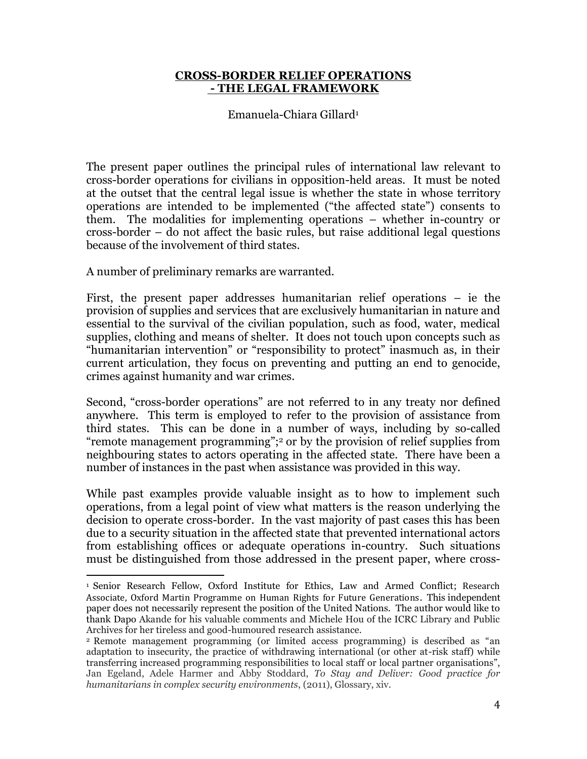## **CROSS-BORDER RELIEF OPERATIONS - THE LEGAL FRAMEWORK**

Emanuela-Chiara Gillard<sup>1</sup>

The present paper outlines the principal rules of international law relevant to cross-border operations for civilians in opposition-held areas. It must be noted at the outset that the central legal issue is whether the state in whose territory operations are intended to be implemented ("the affected state") consents to them. The modalities for implementing operations – whether in-country or cross-border – do not affect the basic rules, but raise additional legal questions because of the involvement of third states.

A number of preliminary remarks are warranted.

 $\overline{a}$ 

First, the present paper addresses humanitarian relief operations – ie the provision of supplies and services that are exclusively humanitarian in nature and essential to the survival of the civilian population, such as food, water, medical supplies, clothing and means of shelter. It does not touch upon concepts such as "humanitarian intervention" or "responsibility to protect" inasmuch as, in their current articulation, they focus on preventing and putting an end to genocide, crimes against humanity and war crimes.

Second, "cross-border operations" are not referred to in any treaty nor defined anywhere. This term is employed to refer to the provision of assistance from third states. This can be done in a number of ways, including by so-called "remote management programming";<sup>2</sup> or by the provision of relief supplies from neighbouring states to actors operating in the affected state. There have been a number of instances in the past when assistance was provided in this way.

While past examples provide valuable insight as to how to implement such operations, from a legal point of view what matters is the reason underlying the decision to operate cross-border. In the vast majority of past cases this has been due to a security situation in the affected state that prevented international actors from establishing offices or adequate operations in-country. Such situations must be distinguished from those addressed in the present paper, where cross-

<sup>1</sup> Senior Research Fellow, Oxford Institute for Ethics, Law and Armed Conflict; Research Associate, Oxford Martin Programme on Human Rights for Future Generations. This independent paper does not necessarily represent the position of the United Nations. The author would like to thank Dapo Akande for his valuable comments and Michele Hou of the ICRC Library and Public Archives for her tireless and good-humoured research assistance.

<sup>2</sup> Remote management programming (or limited access programming) is described as "an adaptation to insecurity, the practice of withdrawing international (or other at-risk staff) while transferring increased programming responsibilities to local staff or local partner organisations", Jan Egeland, Adele Harmer and Abby Stoddard, *To Stay and Deliver: Good practice for humanitarians in complex security environments*, (2011), Glossary, xiv.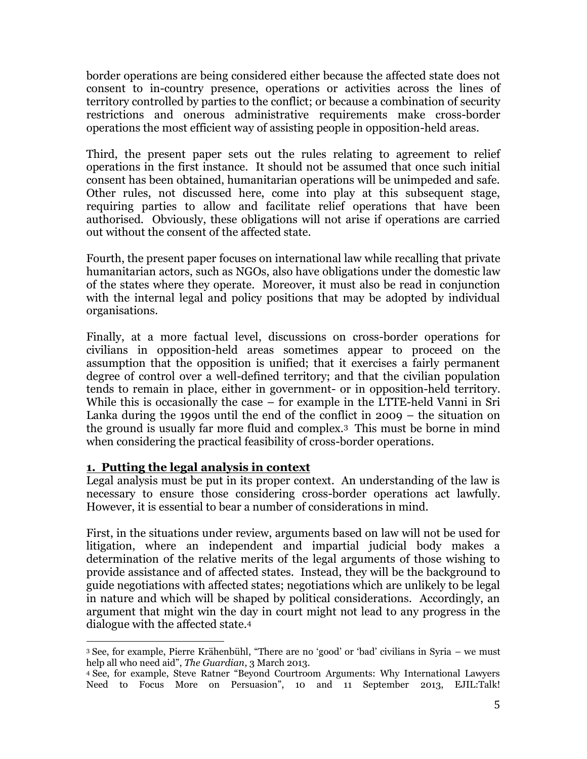border operations are being considered either because the affected state does not consent to in-country presence, operations or activities across the lines of territory controlled by parties to the conflict; or because a combination of security restrictions and onerous administrative requirements make cross-border operations the most efficient way of assisting people in opposition-held areas.

Third, the present paper sets out the rules relating to agreement to relief operations in the first instance. It should not be assumed that once such initial consent has been obtained, humanitarian operations will be unimpeded and safe. Other rules, not discussed here, come into play at this subsequent stage, requiring parties to allow and facilitate relief operations that have been authorised. Obviously, these obligations will not arise if operations are carried out without the consent of the affected state.

Fourth, the present paper focuses on international law while recalling that private humanitarian actors, such as NGOs, also have obligations under the domestic law of the states where they operate. Moreover, it must also be read in conjunction with the internal legal and policy positions that may be adopted by individual organisations.

Finally, at a more factual level, discussions on cross-border operations for civilians in opposition-held areas sometimes appear to proceed on the assumption that the opposition is unified; that it exercises a fairly permanent degree of control over a well-defined territory; and that the civilian population tends to remain in place, either in government- or in opposition-held territory. While this is occasionally the case – for example in the LTTE-held Vanni in Sri Lanka during the 1990s until the end of the conflict in 2009 – the situation on the ground is usually far more fluid and complex.3 This must be borne in mind when considering the practical feasibility of cross-border operations.

## **1. Putting the legal analysis in context**

Legal analysis must be put in its proper context. An understanding of the law is necessary to ensure those considering cross-border operations act lawfully. However, it is essential to bear a number of considerations in mind.

First, in the situations under review, arguments based on law will not be used for litigation, where an independent and impartial judicial body makes a determination of the relative merits of the legal arguments of those wishing to provide assistance and of affected states. Instead, they will be the background to guide negotiations with affected states; negotiations which are unlikely to be legal in nature and which will be shaped by political considerations. Accordingly, an argument that might win the day in court might not lead to any progress in the dialogue with the affected state.<sup>4</sup>

 $\overline{a}$ <sup>3</sup> See, for example, Pierre Krähenbühl, "There are no 'good' or 'bad' civilians in Syria – we must help all who need aid", *The Guardian*, 3 March 2013.

<sup>4</sup> See, for example, Steve Ratner "Beyond Courtroom Arguments: Why International Lawyers Need to Focus More on Persuasion", 10 and 11 September 2013, EJIL:Talk!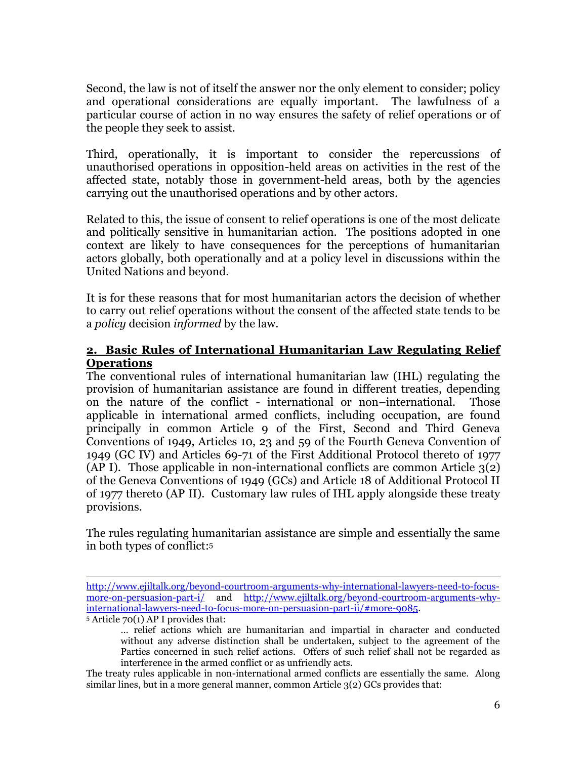Second, the law is not of itself the answer nor the only element to consider; policy and operational considerations are equally important. The lawfulness of a particular course of action in no way ensures the safety of relief operations or of the people they seek to assist.

Third, operationally, it is important to consider the repercussions of unauthorised operations in opposition-held areas on activities in the rest of the affected state, notably those in government-held areas, both by the agencies carrying out the unauthorised operations and by other actors.

Related to this, the issue of consent to relief operations is one of the most delicate and politically sensitive in humanitarian action. The positions adopted in one context are likely to have consequences for the perceptions of humanitarian actors globally, both operationally and at a policy level in discussions within the United Nations and beyond.

It is for these reasons that for most humanitarian actors the decision of whether to carry out relief operations without the consent of the affected state tends to be a *policy* decision *informed* by the law.

## **2. Basic Rules of International Humanitarian Law Regulating Relief Operations**

The conventional rules of international humanitarian law (IHL) regulating the provision of humanitarian assistance are found in different treaties, depending on the nature of the conflict - international or non–international. Those applicable in international armed conflicts, including occupation, are found principally in common Article 9 of the First, Second and Third Geneva Conventions of 1949, Articles 10, 23 and 59 of the Fourth Geneva Convention of 1949 (GC IV) and Articles 69-71 of the First Additional Protocol thereto of 1977 (AP I). Those applicable in non-international conflicts are common Article 3(2) of the Geneva Conventions of 1949 (GCs) and Article 18 of Additional Protocol II of 1977 thereto (AP II). Customary law rules of IHL apply alongside these treaty provisions.

The rules regulating humanitarian assistance are simple and essentially the same in both types of conflict: 5

<sup>5</sup> Article 70(1) AP I provides that:

 $\overline{a}$ [http://www.ejiltalk.org/beyond-courtroom-arguments-why-international-lawyers-need-to-focus](http://www.ejiltalk.org/beyond-courtroom-arguments-why-international-lawyers-need-to-focus-more-on-persuasion-part-i/)[more-on-persuasion-part-i/](http://www.ejiltalk.org/beyond-courtroom-arguments-why-international-lawyers-need-to-focus-more-on-persuasion-part-i/) and [http://www.ejiltalk.org/beyond-courtroom-arguments-why](http://www.ejiltalk.org/beyond-courtroom-arguments-why-international-lawyers-need-to-focus-more-on-persuasion-part-ii/#more-9085)[international-lawyers-need-to-focus-more-on-persuasion-part-ii/#more-9085.](http://www.ejiltalk.org/beyond-courtroom-arguments-why-international-lawyers-need-to-focus-more-on-persuasion-part-ii/#more-9085)

<sup>…</sup> relief actions which are humanitarian and impartial in character and conducted without any adverse distinction shall be undertaken, subject to the agreement of the Parties concerned in such relief actions. Offers of such relief shall not be regarded as interference in the armed conflict or as unfriendly acts.

The treaty rules applicable in non-international armed conflicts are essentially the same. Along similar lines, but in a more general manner, common Article 3(2) GCs provides that: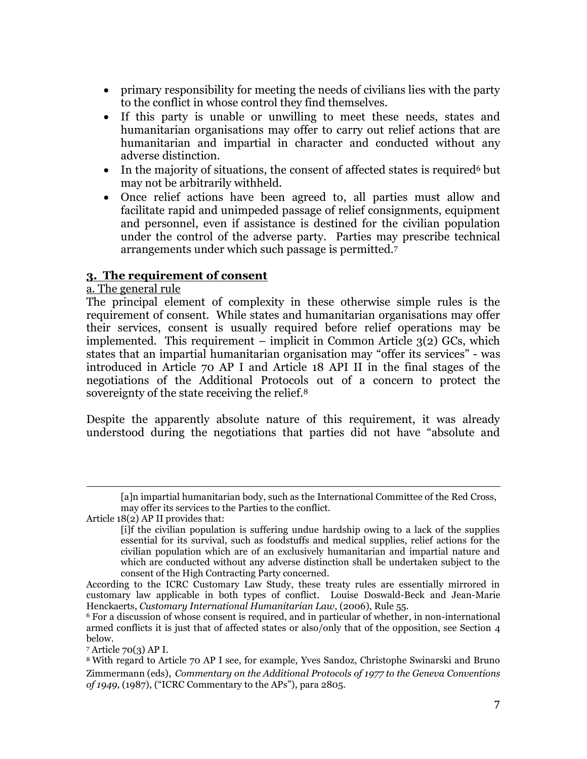- primary responsibility for meeting the needs of civilians lies with the party to the conflict in whose control they find themselves.
- If this party is unable or unwilling to meet these needs, states and humanitarian organisations may offer to carry out relief actions that are humanitarian and impartial in character and conducted without any adverse distinction.
- In the majority of situations, the consent of affected states is required but may not be arbitrarily withheld.
- Once relief actions have been agreed to, all parties must allow and facilitate rapid and unimpeded passage of relief consignments, equipment and personnel, even if assistance is destined for the civilian population under the control of the adverse party. Parties may prescribe technical arrangements under which such passage is permitted.<sup>7</sup>

## **3. The requirement of consent**

## a. The general rule

The principal element of complexity in these otherwise simple rules is the requirement of consent. While states and humanitarian organisations may offer their services, consent is usually required before relief operations may be implemented. This requirement – implicit in Common Article 3(2) GCs, which states that an impartial humanitarian organisation may "offer its services" - was introduced in Article 70 AP I and Article 18 API II in the final stages of the negotiations of the Additional Protocols out of a concern to protect the sovereignty of the state receiving the relief.<sup>8</sup>

Despite the apparently absolute nature of this requirement, it was already understood during the negotiations that parties did not have "absolute and

<sup>7</sup> Article 70(3) AP I.

<sup>[</sup>a]n impartial humanitarian body, such as the International Committee of the Red Cross, may offer its services to the Parties to the conflict.

Article 18(2) AP II provides that:

<sup>[</sup>i]f the civilian population is suffering undue hardship owing to a lack of the supplies essential for its survival, such as foodstuffs and medical supplies, relief actions for the civilian population which are of an exclusively humanitarian and impartial nature and which are conducted without any adverse distinction shall be undertaken subject to the consent of the High Contracting Party concerned.

According to the ICRC Customary Law Study, these treaty rules are essentially mirrored in customary law applicable in both types of conflict. Louise Doswald-Beck and Jean-Marie Henckaerts, *Customary International Humanitarian Law*, (2006), Rule 55.

<sup>&</sup>lt;sup>6</sup> For a discussion of whose consent is required, and in particular of whether, in non-international armed conflicts it is just that of affected states or also/only that of the opposition, see Section 4 below.

<sup>8</sup> With regard to Article 70 AP I see, for example, Yves Sandoz, Christophe Swinarski and Bruno Zimmermann (eds), *Commentary on the Additional Protocols of 1977 to the Geneva Conventions of 1949*, (1987), ("ICRC Commentary to the APs"), para 2805.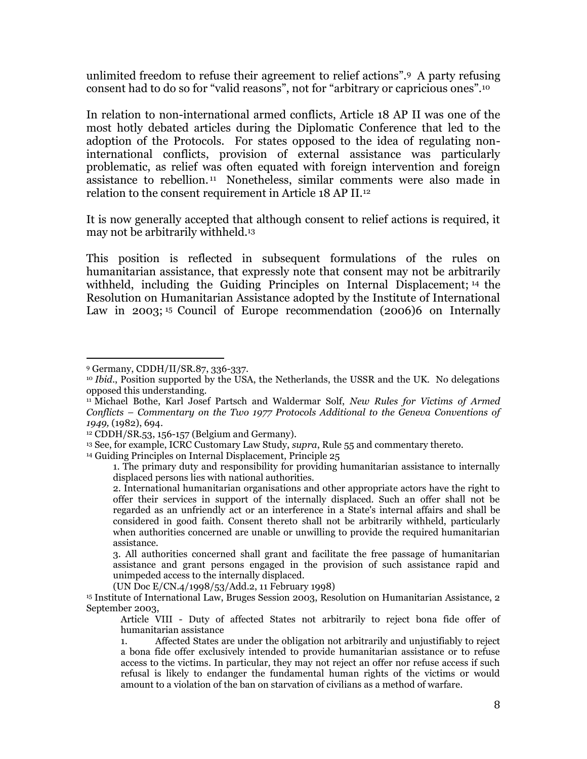unlimited freedom to refuse their agreement to relief actions".9 A party refusing consent had to do so for "valid reasons", not for "arbitrary or capricious ones".<sup>10</sup>

In relation to non-international armed conflicts, Article 18 AP II was one of the most hotly debated articles during the Diplomatic Conference that led to the adoption of the Protocols. For states opposed to the idea of regulating noninternational conflicts, provision of external assistance was particularly problematic, as relief was often equated with foreign intervention and foreign assistance to rebellion. <sup>11</sup> Nonetheless, similar comments were also made in relation to the consent requirement in Article 18 AP II.<sup>12</sup>

It is now generally accepted that although consent to relief actions is required, it may not be arbitrarily withheld. 13

This position is reflected in subsequent formulations of the rules on humanitarian assistance, that expressly note that consent may not be arbitrarily withheld, including the Guiding Principles on Internal Displacement; <sup>14</sup> the Resolution on Humanitarian Assistance adopted by the Institute of International Law in 2003;<sup>15</sup> Council of Europe recommendation (2006)6 on Internally

 $\overline{a}$ 

<sup>14</sup> Guiding Principles on Internal Displacement, Principle 25

(UN Doc E/CN.4/1998/53/Add.2, 11 February 1998)

<sup>9</sup> Germany, CDDH/II/SR.87, 336-337.

<sup>10</sup> *Ibid*., Position supported by the USA, the Netherlands, the USSR and the UK. No delegations opposed this understanding.

<sup>11</sup> Michael Bothe, Karl Josef Partsch and Waldermar Solf, *New Rules for Victims of Armed Conflicts – Commentary on the Two 1977 Protocols Additional to the Geneva Conventions of 1949,* (1982), 694.

<sup>12</sup> CDDH/SR.53, 156-157 (Belgium and Germany).

<sup>13</sup> See, for example, ICRC Customary Law Study, *supra*, Rule 55 and commentary thereto.

<sup>1.</sup> The primary duty and responsibility for providing humanitarian assistance to internally displaced persons lies with national authorities.

<sup>2.</sup> International humanitarian organisations and other appropriate actors have the right to offer their services in support of the internally displaced. Such an offer shall not be regarded as an unfriendly act or an interference in a State's internal affairs and shall be considered in good faith. Consent thereto shall not be arbitrarily withheld, particularly when authorities concerned are unable or unwilling to provide the required humanitarian assistance.

<sup>3.</sup> All authorities concerned shall grant and facilitate the free passage of humanitarian assistance and grant persons engaged in the provision of such assistance rapid and unimpeded access to the internally displaced.

<sup>15</sup> Institute of International Law, Bruges Session 2003, Resolution on Humanitarian Assistance, 2 September 2003,

Article VIII - Duty of affected States not arbitrarily to reject bona fide offer of humanitarian assistance

<sup>1.</sup> Affected States are under the obligation not arbitrarily and unjustifiably to reject a bona fide offer exclusively intended to provide humanitarian assistance or to refuse access to the victims. In particular, they may not reject an offer nor refuse access if such refusal is likely to endanger the fundamental human rights of the victims or would amount to a violation of the ban on starvation of civilians as a method of warfare.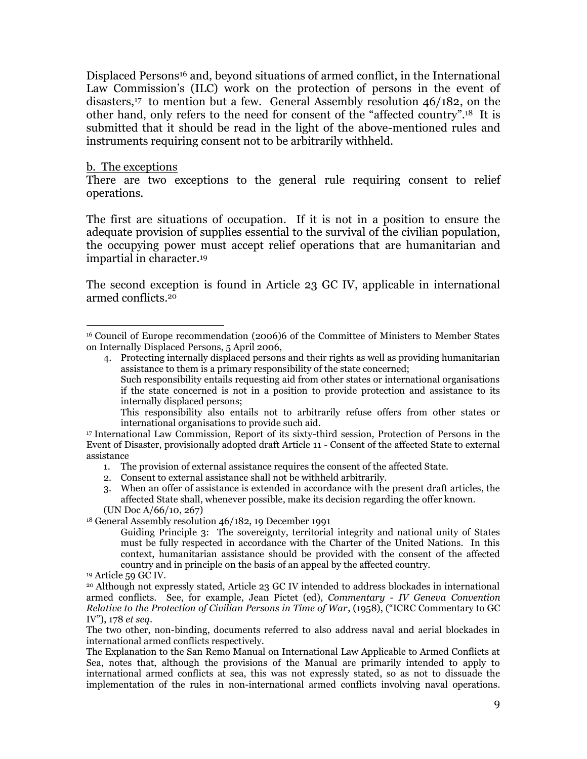Displaced Persons<sup>16</sup> and, beyond situations of armed conflict, in the International Law Commission's (ILC) work on the protection of persons in the event of disasters,17 to mention but a few. General Assembly resolution 46/182, on the other hand, only refers to the need for consent of the "affected country". <sup>18</sup> It is submitted that it should be read in the light of the above-mentioned rules and instruments requiring consent not to be arbitrarily withheld.

#### b. The exceptions

 $\overline{a}$ 

There are two exceptions to the general rule requiring consent to relief operations.

The first are situations of occupation. If it is not in a position to ensure the adequate provision of supplies essential to the survival of the civilian population, the occupying power must accept relief operations that are humanitarian and impartial in character.<sup>19</sup>

The second exception is found in Article 23 GC IV, applicable in international armed conflicts. 20

- 4. Protecting internally displaced persons and their rights as well as providing humanitarian assistance to them is a primary responsibility of the state concerned;
	- Such responsibility entails requesting aid from other states or international organisations if the state concerned is not in a position to provide protection and assistance to its internally displaced persons;

- 1. The provision of external assistance requires the consent of the affected State.
- 2. Consent to external assistance shall not be withheld arbitrarily.
- 3. When an offer of assistance is extended in accordance with the present draft articles, the affected State shall, whenever possible, make its decision regarding the offer known. (UN Doc A/66/10, 267)

<sup>18</sup> General Assembly resolution 46/182, 19 December 1991

Guiding Principle 3: The sovereignty, territorial integrity and national unity of States must be fully respected in accordance with the Charter of the United Nations. In this context, humanitarian assistance should be provided with the consent of the affected country and in principle on the basis of an appeal by the affected country.

The two other, non-binding, documents referred to also address naval and aerial blockades in international armed conflicts respectively.

The Explanation to the San Remo Manual on International Law Applicable to Armed Conflicts at Sea, notes that, although the provisions of the Manual are primarily intended to apply to international armed conflicts at sea, this was not expressly stated, so as not to dissuade the implementation of the rules in non-international armed conflicts involving naval operations.

<sup>16</sup> Council of Europe recommendation (2006)6 of the Committee of Ministers to Member States on Internally Displaced Persons, 5 April 2006,

This responsibility also entails not to arbitrarily refuse offers from other states or international organisations to provide such aid.

<sup>17</sup> International Law Commission, Report of its sixty-third session, Protection of Persons in the Event of Disaster, provisionally adopted draft Article 11 - Consent of the affected State to external assistance

<sup>19</sup> Article 59 GC IV.

<sup>20</sup> Although not expressly stated, Article 23 GC IV intended to address blockades in international armed conflicts. See, for example, Jean Pictet (ed), *Commentary - IV Geneva Convention Relative to the Protection of Civilian Persons in Time of War*, (1958), ("ICRC Commentary to GC IV"), 178 *et seq*.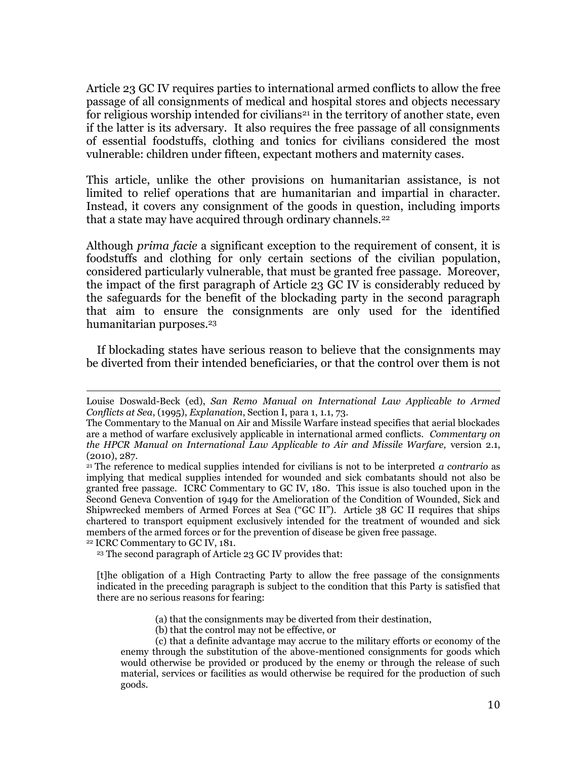Article 23 GC IV requires parties to international armed conflicts to allow the free passage of all consignments of medical and hospital stores and objects necessary for religious worship intended for civilians<sup>21</sup> in the territory of another state, even if the latter is its adversary. It also requires the free passage of all consignments of essential foodstuffs, clothing and tonics for civilians considered the most vulnerable: children under fifteen, expectant mothers and maternity cases.

This article, unlike the other provisions on humanitarian assistance, is not limited to relief operations that are humanitarian and impartial in character. Instead, it covers any consignment of the goods in question, including imports that a state may have acquired through ordinary channels.<sup>22</sup>

Although *prima facie* a significant exception to the requirement of consent, it is foodstuffs and clothing for only certain sections of the civilian population, considered particularly vulnerable, that must be granted free passage. Moreover, the impact of the first paragraph of Article 23 GC IV is considerably reduced by the safeguards for the benefit of the blockading party in the second paragraph that aim to ensure the consignments are only used for the identified humanitarian purposes.<sup>23</sup>

If blockading states have serious reason to believe that the consignments may be diverted from their intended beneficiaries, or that the control over them is not

<sup>22</sup> ICRC Commentary to GC IV, 181.

l

(b) that the control may not be effective, or

Louise Doswald-Beck (ed), *San Remo Manual on International Law Applicable to Armed Conflicts at Sea*, (1995), *Explanation*, Section I, para 1, 1.1, 73.

The Commentary to the Manual on Air and Missile Warfare instead specifies that aerial blockades are a method of warfare exclusively applicable in international armed conflicts. *Commentary on the HPCR Manual on International Law Applicable to Air and Missile Warfare,* version 2.1, (2010), 287.

<sup>21</sup> The reference to medical supplies intended for civilians is not to be interpreted *a contrario* as implying that medical supplies intended for wounded and sick combatants should not also be granted free passage. ICRC Commentary to GC IV, 180. This issue is also touched upon in the Second Geneva Convention of 1949 for the Amelioration of the Condition of Wounded, Sick and Shipwrecked members of Armed Forces at Sea ("GC II"). Article 38 GC II requires that ships chartered to transport equipment exclusively intended for the treatment of wounded and sick members of the armed forces or for the prevention of disease be given free passage.

<sup>23</sup> The second paragraph of Article 23 GC IV provides that:

<sup>[</sup>t]he obligation of a High Contracting Party to allow the free passage of the consignments indicated in the preceding paragraph is subject to the condition that this Party is satisfied that there are no serious reasons for fearing:

<sup>(</sup>a) that the consignments may be diverted from their destination,

<sup>(</sup>c) that a definite advantage may accrue to the military efforts or economy of the enemy through the substitution of the above-mentioned consignments for goods which would otherwise be provided or produced by the enemy or through the release of such material, services or facilities as would otherwise be required for the production of such goods.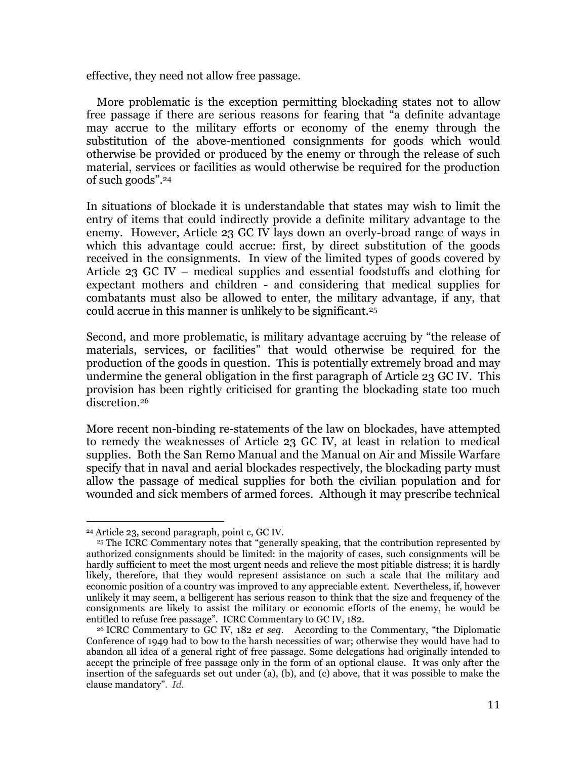effective, they need not allow free passage.

More problematic is the exception permitting blockading states not to allow free passage if there are serious reasons for fearing that "a definite advantage may accrue to the military efforts or economy of the enemy through the substitution of the above-mentioned consignments for goods which would otherwise be provided or produced by the enemy or through the release of such material, services or facilities as would otherwise be required for the production of such goods".<sup>24</sup>

In situations of blockade it is understandable that states may wish to limit the entry of items that could indirectly provide a definite military advantage to the enemy. However, Article 23 GC IV lays down an overly-broad range of ways in which this advantage could accrue: first, by direct substitution of the goods received in the consignments. In view of the limited types of goods covered by Article 23 GC IV – medical supplies and essential foodstuffs and clothing for expectant mothers and children - and considering that medical supplies for combatants must also be allowed to enter, the military advantage, if any, that could accrue in this manner is unlikely to be significant.<sup>25</sup>

Second, and more problematic, is military advantage accruing by "the release of materials, services, or facilities" that would otherwise be required for the production of the goods in question. This is potentially extremely broad and may undermine the general obligation in the first paragraph of Article 23 GC IV. This provision has been rightly criticised for granting the blockading state too much discretion.<sup>26</sup>

More recent non-binding re-statements of the law on blockades, have attempted to remedy the weaknesses of Article 23 GC IV, at least in relation to medical supplies. Both the San Remo Manual and the Manual on Air and Missile Warfare specify that in naval and aerial blockades respectively, the blockading party must allow the passage of medical supplies for both the civilian population and for wounded and sick members of armed forces. Although it may prescribe technical

 $\overline{a}$ <sup>24</sup> Article 23, second paragraph, point c, GC IV.

<sup>&</sup>lt;sup>25</sup> The ICRC Commentary notes that "generally speaking, that the contribution represented by authorized consignments should be limited: in the majority of cases, such consignments will be hardly sufficient to meet the most urgent needs and relieve the most pitiable distress; it is hardly likely, therefore, that they would represent assistance on such a scale that the military and economic position of a country was improved to any appreciable extent. Nevertheless, if, however unlikely it may seem, a belligerent has serious reason to think that the size and frequency of the consignments are likely to assist the military or economic efforts of the enemy, he would be entitled to refuse free passage". ICRC Commentary to GC IV, 182.

<sup>26</sup> ICRC Commentary to GC IV, 182 *et seq*. According to the Commentary, "the Diplomatic Conference of 1949 had to bow to the harsh necessities of war; otherwise they would have had to abandon all idea of a general right of free passage. Some delegations had originally intended to accept the principle of free passage only in the form of an optional clause. It was only after the insertion of the safeguards set out under (a), (b), and (c) above, that it was possible to make the clause mandatory". *Id*.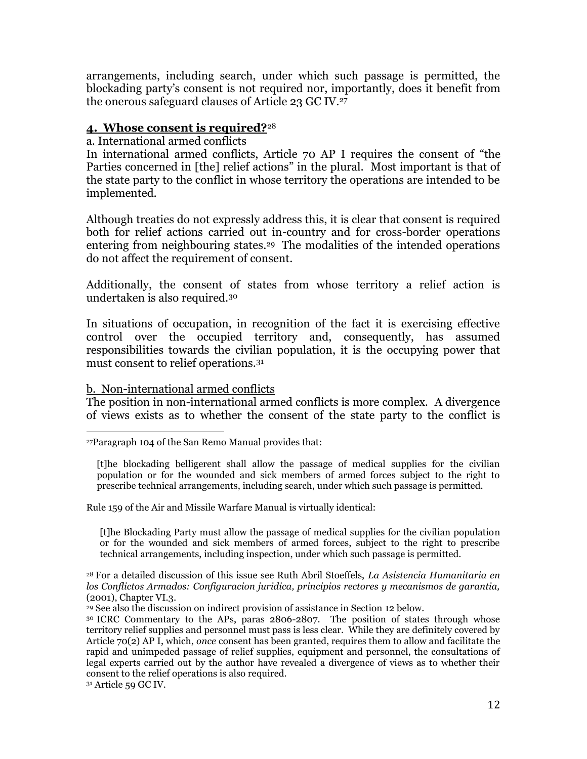arrangements, including search, under which such passage is permitted, the blockading party's consent is not required nor, importantly, does it benefit from the onerous safeguard clauses of Article 23 GC IV.<sup>27</sup>

## **4. Whose consent is required?**<sup>28</sup>

## a. International armed conflicts

In international armed conflicts, Article 70 AP I requires the consent of "the Parties concerned in [the] relief actions" in the plural. Most important is that of the state party to the conflict in whose territory the operations are intended to be implemented.

Although treaties do not expressly address this, it is clear that consent is required both for relief actions carried out in-country and for cross-border operations entering from neighbouring states. <sup>29</sup> The modalities of the intended operations do not affect the requirement of consent.

Additionally, the consent of states from whose territory a relief action is undertaken is also required.<sup>30</sup>

In situations of occupation, in recognition of the fact it is exercising effective control over the occupied territory and, consequently, has assumed responsibilities towards the civilian population, it is the occupying power that must consent to relief operations.<sup>31</sup>

## b. Non-international armed conflicts

The position in non-international armed conflicts is more complex. A divergence of views exists as to whether the consent of the state party to the conflict is

[t]he blockading belligerent shall allow the passage of medical supplies for the civilian population or for the wounded and sick members of armed forces subject to the right to prescribe technical arrangements, including search, under which such passage is permitted.

Rule 159 of the Air and Missile Warfare Manual is virtually identical:

[t]he Blockading Party must allow the passage of medical supplies for the civilian population or for the wounded and sick members of armed forces, subject to the right to prescribe technical arrangements, including inspection, under which such passage is permitted.

<sup>28</sup> For a detailed discussion of this issue see Ruth Abril Stoeffels, *La Asistencia Humanitaria en los Conflictos Armados: Configuracion juridica, principios rectores y mecanismos de garantia,*  (2001), Chapter VI.3*.* 

<sup>29</sup> See also the discussion on indirect provision of assistance in Section 12 below.

<sup>30</sup> ICRC Commentary to the APs, paras 2806-2807. The position of states through whose territory relief supplies and personnel must pass is less clear. While they are definitely covered by Article 70(2) AP I, which, *once* consent has been granted, requires them to allow and facilitate the rapid and unimpeded passage of relief supplies, equipment and personnel, the consultations of legal experts carried out by the author have revealed a divergence of views as to whether their consent to the relief operations is also required.

l <sup>27</sup>Paragraph 104 of the San Remo Manual provides that: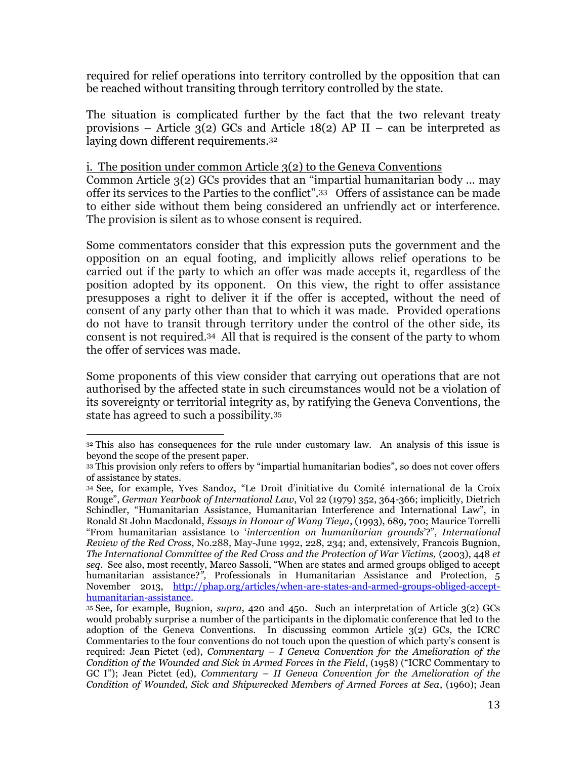required for relief operations into territory controlled by the opposition that can be reached without transiting through territory controlled by the state.

The situation is complicated further by the fact that the two relevant treaty provisions – Article  $3(2)$  GCs and Article 18(2) AP II – can be interpreted as laying down different requirements.<sup>32</sup>

## i. The position under common Article 3(2) to the Geneva Conventions

Common Article 3(2) GCs provides that an "impartial humanitarian body ... may offer its services to the Parties to the conflict".<sup>33</sup> Offers of assistance can be made to either side without them being considered an unfriendly act or interference. The provision is silent as to whose consent is required.

Some commentators consider that this expression puts the government and the opposition on an equal footing, and implicitly allows relief operations to be carried out if the party to which an offer was made accepts it, regardless of the position adopted by its opponent. On this view, the right to offer assistance presupposes a right to deliver it if the offer is accepted, without the need of consent of any party other than that to which it was made. Provided operations do not have to transit through territory under the control of the other side, its consent is not required.34 All that is required is the consent of the party to whom the offer of services was made.

Some proponents of this view consider that carrying out operations that are not authorised by the affected state in such circumstances would not be a violation of its sovereignty or territorial integrity as, by ratifying the Geneva Conventions, the state has agreed to such a possibility.<sup>35</sup>

<sup>32</sup> This also has consequences for the rule under customary law. An analysis of this issue is beyond the scope of the present paper.

<sup>33</sup> This provision only refers to offers by "impartial humanitarian bodies", so does not cover offers of assistance by states.

<sup>34</sup> See, for example, Yves Sandoz, "Le Droit d'initiative du Comité international de la Croix Rouge", *German Yearbook of International Law*, Vol 22 (1979) 352, 364-366; implicitly, Dietrich Schindler, "Humanitarian Assistance, Humanitarian Interference and International Law", in Ronald St John Macdonald, *Essays in Honour of Wang Tieya*, (1993), 689, 700; Maurice Torrelli "From humanitarian assistance to '*intervention on humanitarian grounds*'?", *International Review of the Red Cross*, No.288, May-June 1992, 228, 234; and, extensively, Francois Bugnion, *The International Committee of the Red Cross and the Protection of War Victims, (2003), 448 et seq*. See also, most recently, Marco Sassoli, "When are states and armed groups obliged to accept humanitarian assistance?<sup>"</sup>, Professionals in Humanitarian Assistance and Protection, 5 November 2013, [http://phap.org/articles/when-are-states-and-armed-groups-obliged-accept](http://phap.org/articles/when-are-states-and-armed-groups-obliged-accept-humanitarian-assistance)[humanitarian-assistance.](http://phap.org/articles/when-are-states-and-armed-groups-obliged-accept-humanitarian-assistance)

<sup>35</sup> See, for example, Bugnion, *supra*, 420 and 450. Such an interpretation of Article 3(2) GCs would probably surprise a number of the participants in the diplomatic conference that led to the adoption of the Geneva Conventions. In discussing common Article 3(2) GCs, the ICRC Commentaries to the four conventions do not touch upon the question of which party's consent is required: Jean Pictet (ed), *Commentary – I Geneva Convention for the Amelioration of the Condition of the Wounded and Sick in Armed Forces in the Field*, (1958) ("ICRC Commentary to GC I"); Jean Pictet (ed), *Commentary – II Geneva Convention for the Amelioration of the Condition of Wounded, Sick and Shipwrecked Members of Armed Forces at Sea*, (1960); Jean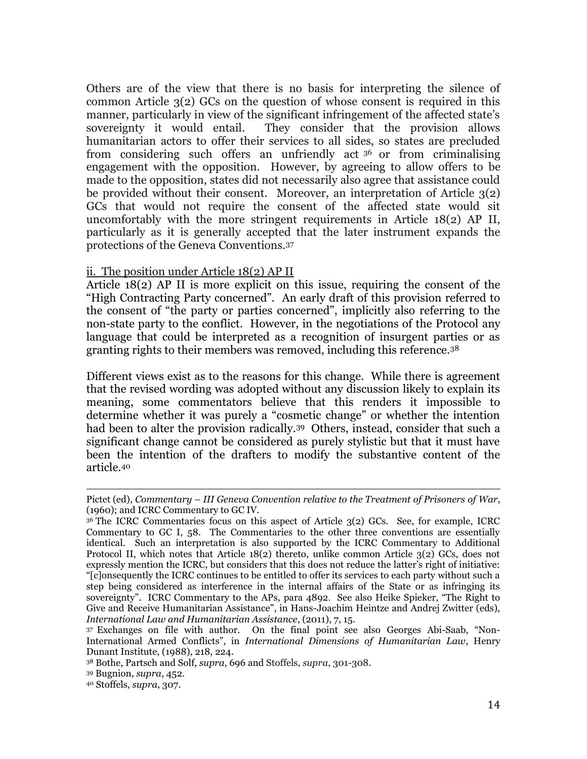Others are of the view that there is no basis for interpreting the silence of common Article 3(2) GCs on the question of whose consent is required in this manner, particularly in view of the significant infringement of the affected state's sovereignty it would entail. They consider that the provision allows humanitarian actors to offer their services to all sides, so states are precluded from considering such offers an unfriendly act <sup>36</sup> or from criminalising engagement with the opposition. However, by agreeing to allow offers to be made to the opposition, states did not necessarily also agree that assistance could be provided without their consent. Moreover, an interpretation of Article 3(2) GCs that would not require the consent of the affected state would sit uncomfortably with the more stringent requirements in Article 18(2) AP II, particularly as it is generally accepted that the later instrument expands the protections of the Geneva Conventions.<sup>37</sup>

## ii. The position under Article 18(2) AP II

Article 18(2) AP II is more explicit on this issue, requiring the consent of the "High Contracting Party concerned". An early draft of this provision referred to the consent of "the party or parties concerned", implicitly also referring to the non-state party to the conflict. However, in the negotiations of the Protocol any language that could be interpreted as a recognition of insurgent parties or as granting rights to their members was removed, including this reference.<sup>38</sup>

Different views exist as to the reasons for this change. While there is agreement that the revised wording was adopted without any discussion likely to explain its meaning, some commentators believe that this renders it impossible to determine whether it was purely a "cosmetic change" or whether the intention had been to alter the provision radically. <sup>39</sup> Others, instead, consider that such a significant change cannot be considered as purely stylistic but that it must have been the intention of the drafters to modify the substantive content of the article.<sup>40</sup>

 $\overline{a}$ Pictet (ed), *Commentary – III Geneva Convention relative to the Treatment of Prisoners of War*, (1960); and ICRC Commentary to GC IV.

<sup>&</sup>lt;sup>36</sup> The ICRC Commentaries focus on this aspect of Article 3(2) GCs. See, for example, ICRC Commentary to GC I, 58. The Commentaries to the other three conventions are essentially identical. Such an interpretation is also supported by the ICRC Commentary to Additional Protocol II, which notes that Article 18(2) thereto, unlike common Article 3(2) GCs, does not expressly mention the ICRC, but considers that this does not reduce the latter's right of initiative: "[c]onsequently the ICRC continues to be entitled to offer its services to each party without such a step being considered as interference in the internal affairs of the State or as infringing its sovereignty". ICRC Commentary to the APs*,* para 4892. See also Heike Spieker, "The Right to Give and Receive Humanitarian Assistance", in Hans-Joachim Heintze and Andrej Zwitter (eds), *International Law and Humanitarian Assistance*, (2011), 7, 15.

<sup>37</sup> Exchanges on file with author. On the final point see also Georges Abi-Saab, "Non-International Armed Conflicts", in *International Dimensions of Humanitarian Law*, Henry Dunant Institute, (1988), 218, 224.

<sup>38</sup> Bothe, Partsch and Solf, *supra*, 696 and Stoffels, *supra*, 301-308.

<sup>39</sup> Bugnion, *supra*, 452.

<sup>40</sup> Stoffels, *supra*, 307.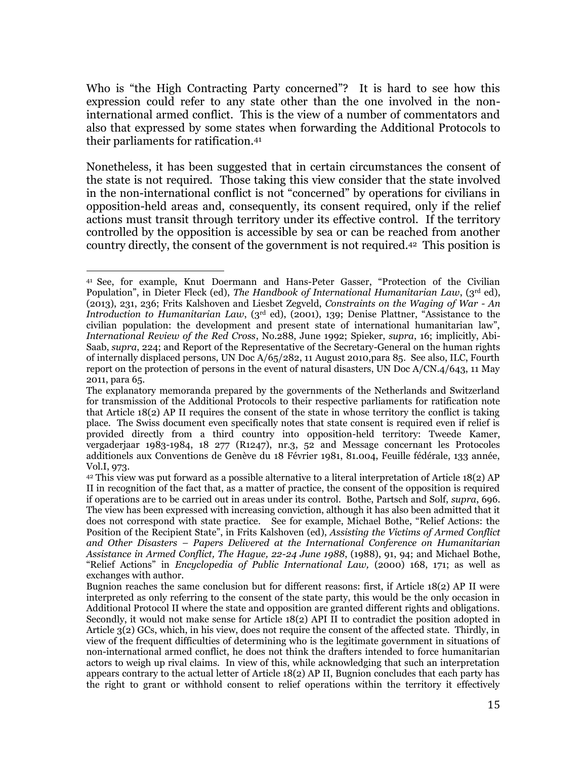Who is "the High Contracting Party concerned"? It is hard to see how this expression could refer to any state other than the one involved in the noninternational armed conflict. This is the view of a number of commentators and also that expressed by some states when forwarding the Additional Protocols to their parliaments for ratification.<sup>41</sup>

Nonetheless, it has been suggested that in certain circumstances the consent of the state is not required. Those taking this view consider that the state involved in the non-international conflict is not "concerned" by operations for civilians in opposition-held areas and, consequently, its consent required, only if the relief actions must transit through territory under its effective control. If the territory controlled by the opposition is accessible by sea or can be reached from another country directly, the consent of the government is not required.<sup>42</sup> This position is

l <sup>41</sup> See, for example, Knut Doermann and Hans-Peter Gasser, "Protection of the Civilian Population", in Dieter Fleck (ed), *The Handbook of International Humanitarian Law*, (3<sup>rd</sup> ed), (2013), 231, 236; Frits Kalshoven and Liesbet Zegveld, *Constraints on the Waging of War - An Introduction to Humanitarian Law*, (3rd ed), (2001), 139; Denise Plattner, "Assistance to the civilian population: the development and present state of international humanitarian law", *International Review of the Red Cross*, No.288, June 1992; Spieker, *supra*, 16; implicitly, Abi-Saab, *supra*, 224; and Report of the Representative of the Secretary-General on the human rights of internally displaced persons, UN Doc A/65/282, 11 August 2010,para 85. See also, ILC, Fourth report on the protection of persons in the event of natural disasters, UN Doc A/CN.4/643, 11 May 2011, para 65.

The explanatory memoranda prepared by the governments of the Netherlands and Switzerland for transmission of the Additional Protocols to their respective parliaments for ratification note that Article  $18(2)$  AP II requires the consent of the state in whose territory the conflict is taking place. The Swiss document even specifically notes that state consent is required even if relief is provided directly from a third country into opposition-held territory: Tweede Kamer, vergaderjaar 1983-1984, 18 277 (R1247), nr.3, 52 and Message concernant les Protocoles additionels aux Conventions de Genève du 18 Février 1981, 81.004, Feuille fédérale, 133 année, Vol.I, 973.

<sup>42</sup> This view was put forward as a possible alternative to a literal interpretation of Article 18(2) AP II in recognition of the fact that, as a matter of practice, the consent of the opposition is required if operations are to be carried out in areas under its control. Bothe, Partsch and Solf, *supra*, 696. The view has been expressed with increasing conviction, although it has also been admitted that it does not correspond with state practice. See for example, Michael Bothe, "Relief Actions: the Position of the Recipient State", in Frits Kalshoven (ed), *Assisting the Victims of Armed Conflict and Other Disasters – Papers Delivered at the International Conference on Humanitarian Assistance in Armed Conflict, The Hague, 22-24 June 1988*, (1988), 91, 94; and Michael Bothe, "Relief Actions" in *Encyclopedia of Public International Law,* (2000) 168, 171; as well as exchanges with author.

Bugnion reaches the same conclusion but for different reasons: first, if Article 18(2) AP II were interpreted as only referring to the consent of the state party, this would be the only occasion in Additional Protocol II where the state and opposition are granted different rights and obligations. Secondly, it would not make sense for Article 18(2) API II to contradict the position adopted in Article 3(2) GCs, which, in his view, does not require the consent of the affected state. Thirdly, in view of the frequent difficulties of determining who is the legitimate government in situations of non-international armed conflict, he does not think the drafters intended to force humanitarian actors to weigh up rival claims. In view of this, while acknowledging that such an interpretation appears contrary to the actual letter of Article 18(2) AP II, Bugnion concludes that each party has the right to grant or withhold consent to relief operations within the territory it effectively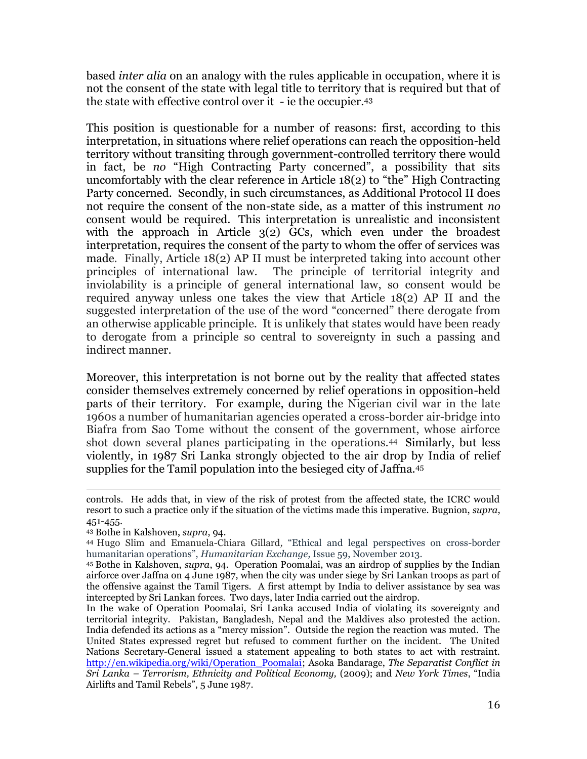based *inter alia* on an analogy with the rules applicable in occupation, where it is not the consent of the state with legal title to territory that is required but that of the state with effective control over it - ie the occupier.<sup>43</sup>

This position is questionable for a number of reasons: first, according to this interpretation, in situations where relief operations can reach the opposition-held territory without transiting through government-controlled territory there would in fact, be *no* "High Contracting Party concerned", a possibility that sits uncomfortably with the clear reference in Article 18(2) to "the" High Contracting Party concerned. Secondly, in such circumstances, as Additional Protocol II does not require the consent of the non-state side, as a matter of this instrument *no*  consent would be required. This interpretation is unrealistic and inconsistent with the approach in Article  $3(2)$  GCs, which even under the broadest interpretation, requires the consent of the party to whom the offer of services was made. Finally, Article 18(2) AP II must be interpreted taking into account other principles of international law. The principle of territorial integrity and inviolability is a principle of general international law, so consent would be required anyway unless one takes the view that Article 18(2) AP II and the suggested interpretation of the use of the word "concerned" there derogate from an otherwise applicable principle. It is unlikely that states would have been ready to derogate from a principle so central to sovereignty in such a passing and indirect manner.

Moreover, this interpretation is not borne out by the reality that affected states consider themselves extremely concerned by relief operations in opposition-held parts of their territory. For example, during the Nigerian civil war in the late 1960s a number of humanitarian agencies operated a cross-border air-bridge into Biafra from Sao Tome without the consent of the government, whose airforce shot down several planes participating in the operations.44 Similarly, but less violently, in 1987 Sri Lanka strongly objected to the air drop by India of relief supplies for the Tamil population into the besieged city of Jaffna.<sup>45</sup>

 $\overline{a}$ controls. He adds that, in view of the risk of protest from the affected state, the ICRC would resort to such a practice only if the situation of the victims made this imperative. Bugnion, *supra*, 451-455.

<sup>43</sup> Bothe in Kalshoven, *supra*, 94.

<sup>44</sup> Hugo Slim and Emanuela-Chiara Gillard*,* "Ethical and legal perspectives on cross-border humanitarian operations", *Humanitarian Exchange,* Issue 59, November 2013.

<sup>45</sup> Bothe in Kalshoven, *supra*, 94. Operation Poomalai, was an airdrop of supplies by the Indian airforce over Jaffna on 4 June 1987, when the city was under siege by Sri Lankan troops as part of the offensive against the Tamil Tigers. A first attempt by India to deliver assistance by sea was intercepted by Sri Lankan forces. Two days, later India carried out the airdrop.

In the wake of Operation Poomalai, Sri Lanka accused India of violating its sovereignty and territorial integrity. Pakistan, Bangladesh, Nepal and the Maldives also protested the action. India defended its actions as a "mercy mission". Outside the region the reaction was muted. The United States expressed regret but refused to comment further on the incident. The United Nations Secretary-General issued a statement appealing to both states to act with restraint. [http://en.wikipedia.org/wiki/Operation\\_Poomalai;](http://en.wikipedia.org/wiki/Operation_Poomalai) Asoka Bandarage, *The Separatist Conflict in Sri Lanka – Terrorism, Ethnicity and Political Economy,* (2009); and *New York Times*, "India Airlifts and Tamil Rebels", 5 June 1987.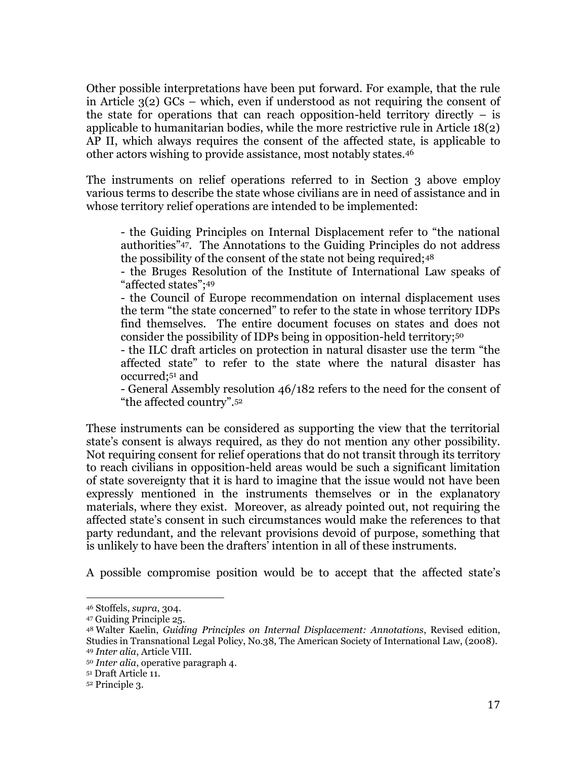Other possible interpretations have been put forward. For example, that the rule in Article 3(2) GCs – which, even if understood as not requiring the consent of the state for operations that can reach opposition-held territory directly  $-$  is applicable to humanitarian bodies, while the more restrictive rule in Article 18(2) AP II, which always requires the consent of the affected state, is applicable to other actors wishing to provide assistance, most notably states.<sup>46</sup>

The instruments on relief operations referred to in Section 3 above employ various terms to describe the state whose civilians are in need of assistance and in whose territory relief operations are intended to be implemented:

- the Guiding Principles on Internal Displacement refer to "the national authorities"47. The Annotations to the Guiding Principles do not address the possibility of the consent of the state not being required;<sup>48</sup>

- the Bruges Resolution of the Institute of International Law speaks of "affected states";<sup>49</sup>

- the Council of Europe recommendation on internal displacement uses the term "the state concerned" to refer to the state in whose territory IDPs find themselves. The entire document focuses on states and does not consider the possibility of IDPs being in opposition-held territory;<sup>50</sup>

- the ILC draft articles on protection in natural disaster use the term "the affected state" to refer to the state where the natural disaster has occurred;<sup>51</sup> and

- General Assembly resolution 46/182 refers to the need for the consent of "the affected country".<sup>52</sup>

These instruments can be considered as supporting the view that the territorial state's consent is always required, as they do not mention any other possibility. Not requiring consent for relief operations that do not transit through its territory to reach civilians in opposition-held areas would be such a significant limitation of state sovereignty that it is hard to imagine that the issue would not have been expressly mentioned in the instruments themselves or in the explanatory materials, where they exist. Moreover, as already pointed out, not requiring the affected state's consent in such circumstances would make the references to that party redundant, and the relevant provisions devoid of purpose, something that is unlikely to have been the drafters' intention in all of these instruments.

A possible compromise position would be to accept that the affected state's

<sup>46</sup> Stoffels, *supra*, 304.

<sup>47</sup> Guiding Principle 25.

<sup>48</sup> Walter Kaelin, *Guiding Principles on Internal Displacement: Annotations*, Revised edition, Studies in Transnational Legal Policy, No.38, The American Society of International Law, (2008). <sup>49</sup> *Inter alia*, Article VIII.

<sup>50</sup> *Inter alia*, operative paragraph 4.

<sup>51</sup> Draft Article 11.

<sup>52</sup> Principle 3.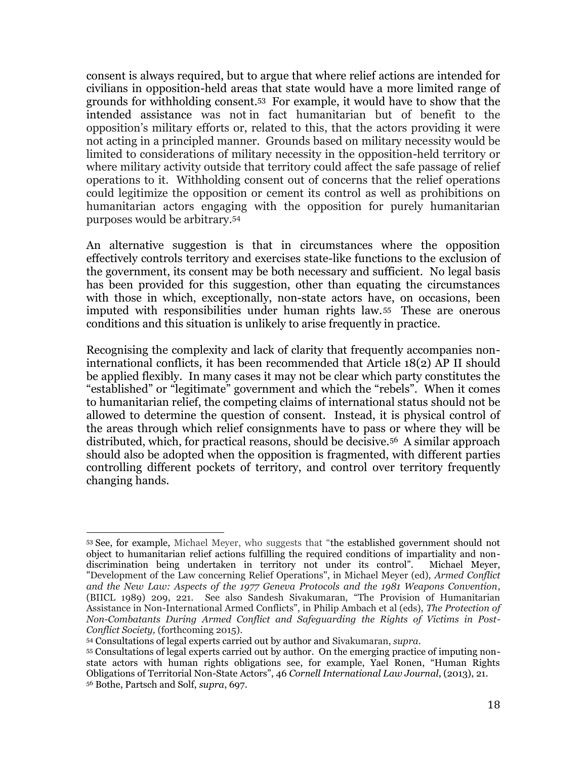consent is always required, but to argue that where relief actions are intended for civilians in opposition-held areas that state would have a more limited range of grounds for withholding consent.53 For example, it would have to show that the intended assistance was not in fact humanitarian but of benefit to the opposition's military efforts or, related to this, that the actors providing it were not acting in a principled manner. Grounds based on military necessity would be limited to considerations of military necessity in the opposition-held territory or where military activity outside that territory could affect the safe passage of relief operations to it. Withholding consent out of concerns that the relief operations could legitimize the opposition or cement its control as well as prohibitions on humanitarian actors engaging with the opposition for purely humanitarian purposes would be arbitrary.<sup>54</sup>

An alternative suggestion is that in circumstances where the opposition effectively controls territory and exercises state-like functions to the exclusion of the government, its consent may be both necessary and sufficient. No legal basis has been provided for this suggestion, other than equating the circumstances with those in which, exceptionally, non-state actors have, on occasions, been imputed with responsibilities under human rights law. <sup>55</sup> These are onerous conditions and this situation is unlikely to arise frequently in practice.

Recognising the complexity and lack of clarity that frequently accompanies noninternational conflicts, it has been recommended that Article 18(2) AP II should be applied flexibly. In many cases it may not be clear which party constitutes the "established" or "legitimate" government and which the "rebels". When it comes to humanitarian relief, the competing claims of international status should not be allowed to determine the question of consent. Instead, it is physical control of the areas through which relief consignments have to pass or where they will be distributed, which, for practical reasons, should be decisive.<sup>56</sup> A similar approach should also be adopted when the opposition is fragmented, with different parties controlling different pockets of territory, and control over territory frequently changing hands.

l

<sup>53</sup> See, for example, Michael Meyer, who suggests that "the established government should not object to humanitarian relief actions fulfilling the required conditions of impartiality and nondiscrimination being undertaken in territory not under its control". Michael Meyer, "Development of the Law concerning Relief Operations", in Michael Meyer (ed), *Armed Conflict and the New Law: Aspects of the 1977 Geneva Protocols and the 1981 Weapons Convention*, (BIICL 1989) 209, 221. See also Sandesh Sivakumaran, "The Provision of Humanitarian Assistance in Non-International Armed Conflicts", in Philip Ambach et al (eds), *The Protection of Non-Combatants During Armed Conflict and Safeguarding the Rights of Victims in Post-Conflict Society,* (forthcoming 2015).

<sup>54</sup> Consultations of legal experts carried out by author and Sivakumaran, *supra*.

<sup>55</sup> Consultations of legal experts carried out by author. On the emerging practice of imputing nonstate actors with human rights obligations see, for example, Yael Ronen, "Human Rights Obligations of Territorial Non-State Actors", 46 *Cornell International Law Journal*, (2013), 21. <sup>56</sup> Bothe, Partsch and Solf, *supra*, 697.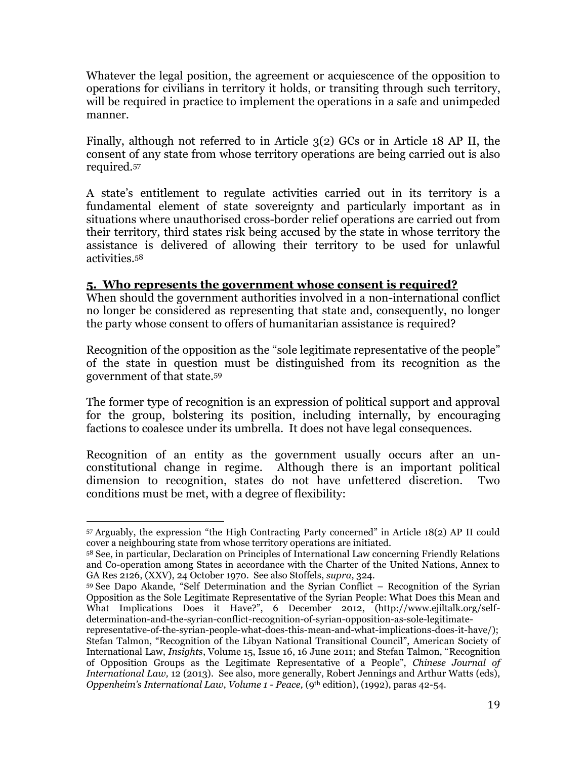Whatever the legal position, the agreement or acquiescence of the opposition to operations for civilians in territory it holds, or transiting through such territory, will be required in practice to implement the operations in a safe and unimpeded manner.

Finally, although not referred to in Article 3(2) GCs or in Article 18 AP II, the consent of any state from whose territory operations are being carried out is also required.<sup>57</sup>

A state's entitlement to regulate activities carried out in its territory is a fundamental element of state sovereignty and particularly important as in situations where unauthorised cross-border relief operations are carried out from their territory, third states risk being accused by the state in whose territory the assistance is delivered of allowing their territory to be used for unlawful activities.<sup>58</sup>

## **5. Who represents the government whose consent is required?**

When should the government authorities involved in a non-international conflict no longer be considered as representing that state and, consequently, no longer the party whose consent to offers of humanitarian assistance is required?

Recognition of the opposition as the "sole legitimate representative of the people" of the state in question must be distinguished from its recognition as the government of that state.<sup>59</sup>

The former type of recognition is an expression of political support and approval for the group, bolstering its position, including internally, by encouraging factions to coalesce under its umbrella. It does not have legal consequences.

Recognition of an entity as the government usually occurs after an unconstitutional change in regime. Although there is an important political dimension to recognition, states do not have unfettered discretion. Two conditions must be met, with a degree of flexibility:

 $\overline{a}$ <sup>57</sup> Arguably, the expression "the High Contracting Party concerned" in Article 18(2) AP II could cover a neighbouring state from whose territory operations are initiated.

<sup>58</sup> See, in particular, Declaration on Principles of International Law concerning Friendly Relations and Co-operation among States in accordance with the Charter of the United Nations, Annex to GA Res 2126, (XXV), 24 October 1970. See also Stoffels, *supra*, 324.

<sup>59</sup> See Dapo Akande, "Self Determination and the Syrian Conflict – Recognition of the Syrian Opposition as the Sole Legitimate Representative of the Syrian People: What Does this Mean and What Implications Does it Have?", 6 December 2012, (http://www.ejiltalk.org/selfdetermination-and-the-syrian-conflict-recognition-of-syrian-opposition-as-sole-legitimate-

representative-of-the-syrian-people-what-does-this-mean-and-what-implications-does-it-have/); Stefan Talmon, "Recognition of the Libyan National Transitional Council", American Society of International Law, *Insights*, Volume 15, Issue 16, 16 June 2011; and Stefan Talmon, "Recognition of Opposition Groups as the Legitimate Representative of a People", *Chinese Journal of International Law,* 12 (2013). See also, more generally, Robert Jennings and Arthur Watts (eds), *Oppenheim's International Law*, *Volume 1 - Peace,* (9th edition), (1992), paras 42-54.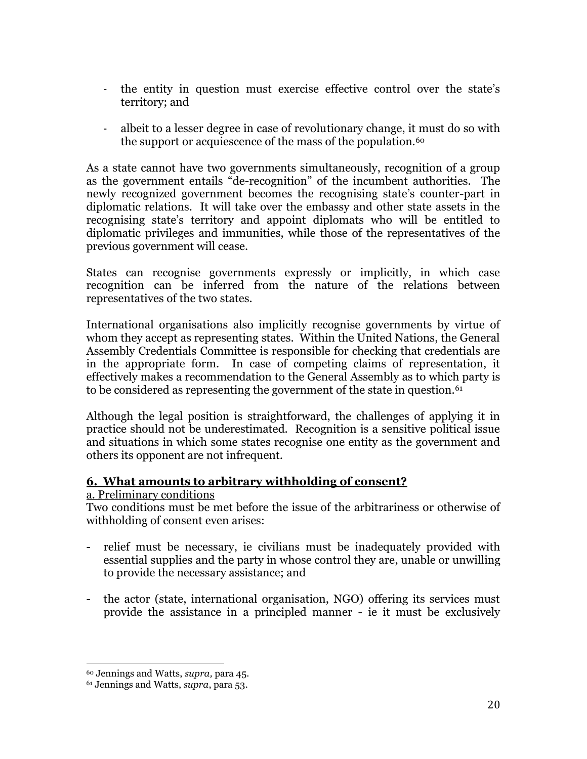- the entity in question must exercise effective control over the state's territory; and
- albeit to a lesser degree in case of revolutionary change, it must do so with the support or acquiescence of the mass of the population.<sup>60</sup>

As a state cannot have two governments simultaneously, recognition of a group as the government entails "de-recognition" of the incumbent authorities. The newly recognized government becomes the recognising state's counter-part in diplomatic relations. It will take over the embassy and other state assets in the recognising state's territory and appoint diplomats who will be entitled to diplomatic privileges and immunities, while those of the representatives of the previous government will cease.

States can recognise governments expressly or implicitly, in which case recognition can be inferred from the nature of the relations between representatives of the two states.

International organisations also implicitly recognise governments by virtue of whom they accept as representing states. Within the United Nations, the General Assembly Credentials Committee is responsible for checking that credentials are in the appropriate form. In case of competing claims of representation, it effectively makes a recommendation to the General Assembly as to which party is to be considered as representing the government of the state in question.<sup>61</sup>

Although the legal position is straightforward, the challenges of applying it in practice should not be underestimated. Recognition is a sensitive political issue and situations in which some states recognise one entity as the government and others its opponent are not infrequent.

## **6. What amounts to arbitrary withholding of consent?**

## a. Preliminary conditions

Two conditions must be met before the issue of the arbitrariness or otherwise of withholding of consent even arises:

- relief must be necessary, ie civilians must be inadequately provided with essential supplies and the party in whose control they are, unable or unwilling to provide the necessary assistance; and
- the actor (state, international organisation, NGO) offering its services must provide the assistance in a principled manner - ie it must be exclusively

<sup>60</sup> Jennings and Watts, *supra,* para 45.

<sup>61</sup> Jennings and Watts, *supra*, para 53.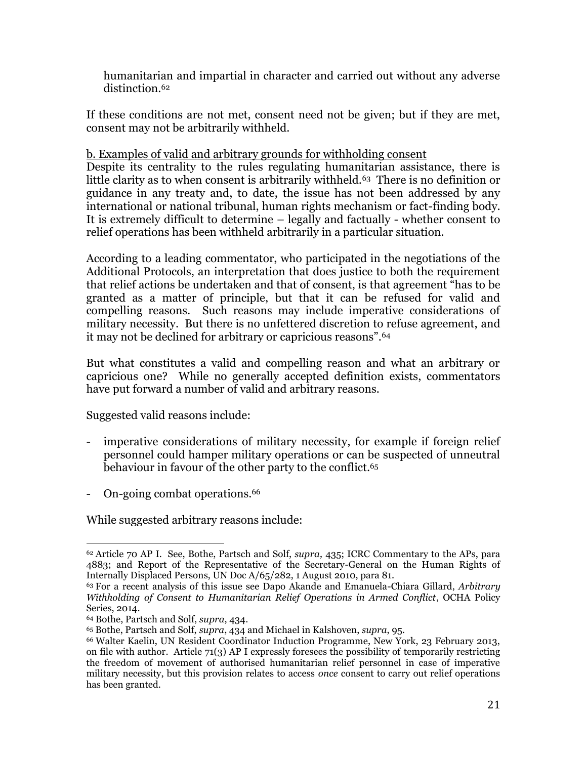humanitarian and impartial in character and carried out without any adverse distinction.<sup>62</sup>

If these conditions are not met, consent need not be given; but if they are met, consent may not be arbitrarily withheld.

## b. Examples of valid and arbitrary grounds for withholding consent

Despite its centrality to the rules regulating humanitarian assistance, there is little clarity as to when consent is arbitrarily withheld.<sup>63</sup> There is no definition or guidance in any treaty and, to date, the issue has not been addressed by any international or national tribunal, human rights mechanism or fact-finding body. It is extremely difficult to determine – legally and factually - whether consent to relief operations has been withheld arbitrarily in a particular situation.

According to a leading commentator, who participated in the negotiations of the Additional Protocols, an interpretation that does justice to both the requirement that relief actions be undertaken and that of consent, is that agreement "has to be granted as a matter of principle, but that it can be refused for valid and compelling reasons. Such reasons may include imperative considerations of military necessity. But there is no unfettered discretion to refuse agreement, and it may not be declined for arbitrary or capricious reasons".<sup>64</sup>

But what constitutes a valid and compelling reason and what an arbitrary or capricious one? While no generally accepted definition exists, commentators have put forward a number of valid and arbitrary reasons.

Suggested valid reasons include:

- imperative considerations of military necessity, for example if foreign relief personnel could hamper military operations or can be suspected of unneutral behaviour in favour of the other party to the conflict.<sup>65</sup>
- On-going combat operations.<sup>66</sup>

While suggested arbitrary reasons include:

 $\overline{a}$ <sup>62</sup> Article 70 AP I. See, Bothe, Partsch and Solf, *supra,* 435; ICRC Commentary to the APs, para 4883; and Report of the Representative of the Secretary-General on the Human Rights of Internally Displaced Persons, UN Doc A/65/282, 1 August 2010, para 81.

<sup>63</sup> For a recent analysis of this issue see Dapo Akande and Emanuela-Chiara Gillard, *Arbitrary Withholding of Consent to Humanitarian Relief Operations in Armed Conflict*, OCHA Policy Series, 2014.

<sup>64</sup> Bothe, Partsch and Solf, *supra*, 434.

<sup>65</sup> Bothe, Partsch and Solf, *supra*, 434 and Michael in Kalshoven, *supra*, 95.

<sup>66</sup> Walter Kaelin, UN Resident Coordinator Induction Programme, New York, 23 February 2013, on file with author. Article 71(3) AP I expressly foresees the possibility of temporarily restricting the freedom of movement of authorised humanitarian relief personnel in case of imperative military necessity, but this provision relates to access *once* consent to carry out relief operations has been granted.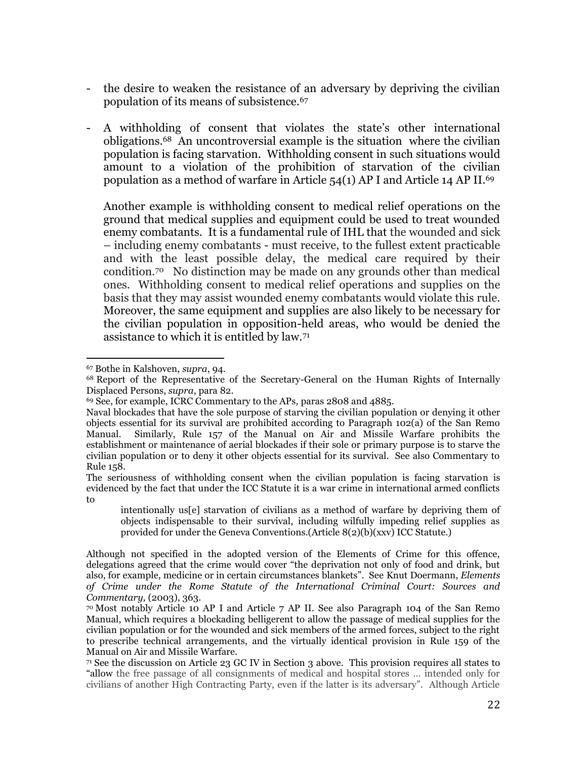- the desire to weaken the resistance of an adversary by depriving the civilian population of its means of subsistence.<sup>67</sup>
- A withholding of consent that violates the state's other international obligations.68 An uncontroversial example is the situation where the civilian population is facing starvation. Withholding consent in such situations would amount to a violation of the prohibition of starvation of the civilian population as a method of warfare in Article 54(1) AP I and Article 14 AP II. 69

Another example is withholding consent to medical relief operations on the ground that medical supplies and equipment could be used to treat wounded enemy combatants. It is a fundamental rule of IHL that the wounded and sick – including enemy combatants - must receive, to the fullest extent practicable and with the least possible delay, the medical care required by their condition.70 No distinction may be made on any grounds other than medical ones. Withholding consent to medical relief operations and supplies on the basis that they may assist wounded enemy combatants would violate this rule. Moreover, the same equipment and supplies are also likely to be necessary for the civilian population in opposition-held areas, who would be denied the assistance to which it is entitled by law.<sup>71</sup>

<sup>67</sup> Bothe in Kalshoven, *supra*, 94.

<sup>68</sup> Report of the Representative of the Secretary-General on the Human Rights of Internally Displaced Persons, *supra*, para 82.

<sup>69</sup> See, for example, ICRC Commentary to the APs*,* paras 2808 and 4885.

Naval blockades that have the sole purpose of starving the civilian population or denying it other objects essential for its survival are prohibited according to Paragraph 102(a) of the San Remo Manual. Similarly, Rule 157 of the Manual on Air and Missile Warfare prohibits the establishment or maintenance of aerial blockades if their sole or primary purpose is to starve the civilian population or to deny it other objects essential for its survival. See also Commentary to Rule 158.

The seriousness of withholding consent when the civilian population is facing starvation is evidenced by the fact that under the ICC Statute it is a war crime in international armed conflicts to

intentionally us[e] starvation of civilians as a method of warfare by depriving them of objects indispensable to their survival, including wilfully impeding relief supplies as provided for under the Geneva Conventions.(Article 8(2)(b)(xxv) ICC Statute.)

Although not specified in the adopted version of the Elements of Crime for this offence, delegations agreed that the crime would cover "the deprivation not only of food and drink, but also, for example, medicine or in certain circumstances blankets". See Knut Doermann, *Elements of Crime under the Rome Statute of the International Criminal Court: Sources and Commentary,* (2003), 363.

<sup>70</sup> Most notably Article 10 AP I and Article 7 AP II. See also Paragraph 104 of the San Remo Manual, which requires a blockading belligerent to allow the passage of medical supplies for the civilian population or for the wounded and sick members of the armed forces, subject to the right to prescribe technical arrangements, and the virtually identical provision in Rule 159 of the Manual on Air and Missile Warfare.

<sup>71</sup> See the discussion on Article 23 GC IV in Section 3 above. This provision requires all states to "allow the free passage of all consignments of medical and hospital stores … intended only for civilians of another High Contracting Party, even if the latter is its adversary". Although Article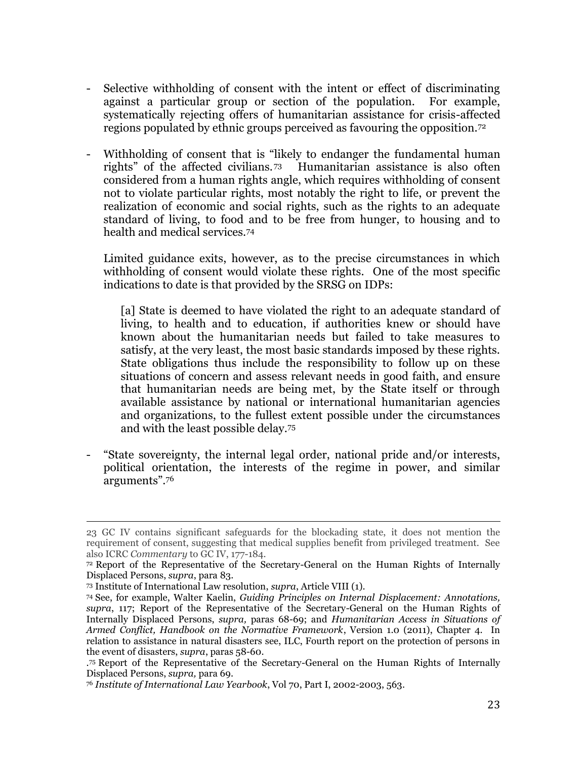- Selective withholding of consent with the intent or effect of discriminating against a particular group or section of the population. For example, systematically rejecting offers of humanitarian assistance for crisis-affected regions populated by ethnic groups perceived as favouring the opposition.<sup>72</sup>
- Withholding of consent that is "likely to endanger the fundamental human rights" of the affected civilians. <sup>73</sup> Humanitarian assistance is also often considered from a human rights angle, which requires withholding of consent not to violate particular rights, most notably the right to life, or prevent the realization of economic and social rights, such as the rights to an adequate standard of living, to food and to be free from hunger, to housing and to health and medical services.<sup>74</sup>

Limited guidance exits, however, as to the precise circumstances in which withholding of consent would violate these rights. One of the most specific indications to date is that provided by the SRSG on IDPs:

[a] State is deemed to have violated the right to an adequate standard of living, to health and to education, if authorities knew or should have known about the humanitarian needs but failed to take measures to satisfy, at the very least, the most basic standards imposed by these rights. State obligations thus include the responsibility to follow up on these situations of concern and assess relevant needs in good faith, and ensure that humanitarian needs are being met, by the State itself or through available assistance by national or international humanitarian agencies and organizations, to the fullest extent possible under the circumstances and with the least possible delay.<sup>75</sup>

"State sovereignty, the internal legal order, national pride and/or interests, political orientation, the interests of the regime in power, and similar arguments".<sup>76</sup>

<sup>23</sup> GC IV contains significant safeguards for the blockading state, it does not mention the requirement of consent, suggesting that medical supplies benefit from privileged treatment. See also ICRC *Commentary* to GC IV, 177-184.

<sup>72</sup> Report of the Representative of the Secretary-General on the Human Rights of Internally Displaced Persons, *supra*, para 83.

<sup>73</sup> Institute of International Law resolution, *supra*, Article VIII (1).

<sup>74</sup> See, for example, Walter Kaelin, *Guiding Principles on Internal Displacement: Annotations, supra*, 117; Report of the Representative of the Secretary-General on the Human Rights of Internally Displaced Persons, *supra,* paras 68-69; and *Humanitarian Access in Situations of Armed Conflict, Handbook on the Normative Framework*, Version 1.0 (2011), Chapter 4. In relation to assistance in natural disasters see, ILC, Fourth report on the protection of persons in the event of disasters, *supra*, paras 58-60.

<sup>.</sup> <sup>75</sup> Report of the Representative of the Secretary-General on the Human Rights of Internally Displaced Persons, *supra,* para 69.

<sup>76</sup> *Institute of International Law Yearbook*, Vol 70, Part I, 2002-2003, 563.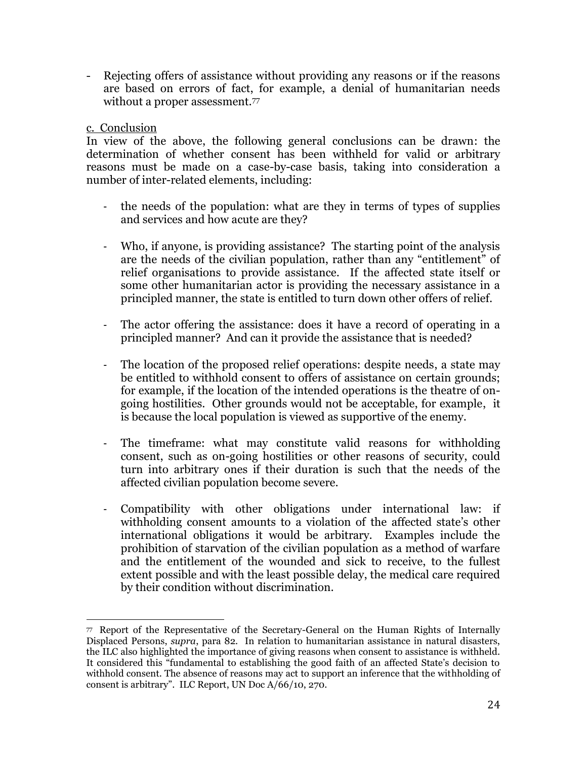- Rejecting offers of assistance without providing any reasons or if the reasons are based on errors of fact, for example, a denial of humanitarian needs without a proper assessment.<sup>77</sup>

## c. Conclusion

In view of the above, the following general conclusions can be drawn: the determination of whether consent has been withheld for valid or arbitrary reasons must be made on a case-by-case basis, taking into consideration a number of inter-related elements, including:

- the needs of the population: what are they in terms of types of supplies and services and how acute are they?
- Who, if anyone, is providing assistance? The starting point of the analysis are the needs of the civilian population, rather than any "entitlement" of relief organisations to provide assistance. If the affected state itself or some other humanitarian actor is providing the necessary assistance in a principled manner, the state is entitled to turn down other offers of relief.
- The actor offering the assistance: does it have a record of operating in a principled manner? And can it provide the assistance that is needed?
- The location of the proposed relief operations: despite needs, a state may be entitled to withhold consent to offers of assistance on certain grounds; for example, if the location of the intended operations is the theatre of ongoing hostilities. Other grounds would not be acceptable, for example, it is because the local population is viewed as supportive of the enemy.
- The timeframe: what may constitute valid reasons for withholding consent, such as on-going hostilities or other reasons of security, could turn into arbitrary ones if their duration is such that the needs of the affected civilian population become severe.
- Compatibility with other obligations under international law: if withholding consent amounts to a violation of the affected state's other international obligations it would be arbitrary. Examples include the prohibition of starvation of the civilian population as a method of warfare and the entitlement of the wounded and sick to receive, to the fullest extent possible and with the least possible delay, the medical care required by their condition without discrimination.

 $\overline{a}$ 77 Report of the Representative of the Secretary-General on the Human Rights of Internally Displaced Persons, *supra*, para 82. In relation to humanitarian assistance in natural disasters, the ILC also highlighted the importance of giving reasons when consent to assistance is withheld. It considered this "fundamental to establishing the good faith of an affected State's decision to withhold consent. The absence of reasons may act to support an inference that the withholding of consent is arbitrary". ILC Report, UN Doc A/66/10, 270.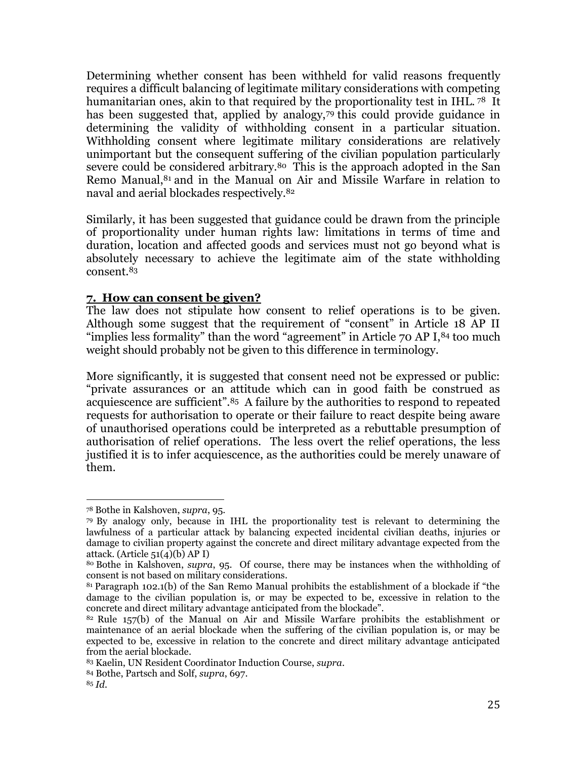Determining whether consent has been withheld for valid reasons frequently requires a difficult balancing of legitimate military considerations with competing humanitarian ones, akin to that required by the proportionality test in IHL.<sup>78</sup> It has been suggested that, applied by analogy,<sup>79</sup> this could provide guidance in determining the validity of withholding consent in a particular situation. Withholding consent where legitimate military considerations are relatively unimportant but the consequent suffering of the civilian population particularly severe could be considered arbitrary.<sup>80</sup> This is the approach adopted in the San Remo Manual, <sup>81</sup> and in the Manual on Air and Missile Warfare in relation to naval and aerial blockades respectively.<sup>82</sup>

Similarly, it has been suggested that guidance could be drawn from the principle of proportionality under human rights law: limitations in terms of time and duration, location and affected goods and services must not go beyond what is absolutely necessary to achieve the legitimate aim of the state withholding consent.<sup>83</sup>

## **7. How can consent be given?**

The law does not stipulate how consent to relief operations is to be given. Although some suggest that the requirement of "consent" in Article 18 AP II "implies less formality" than the word "agreement" in Article 70 AP I,<sup>84</sup> too much weight should probably not be given to this difference in terminology.

More significantly, it is suggested that consent need not be expressed or public: "private assurances or an attitude which can in good faith be construed as acquiescence are sufficient".85 A failure by the authorities to respond to repeated requests for authorisation to operate or their failure to react despite being aware of unauthorised operations could be interpreted as a rebuttable presumption of authorisation of relief operations. The less overt the relief operations, the less justified it is to infer acquiescence, as the authorities could be merely unaware of them.

<sup>78</sup> Bothe in Kalshoven, *supra*, 95.

<sup>79</sup> By analogy only, because in IHL the proportionality test is relevant to determining the lawfulness of a particular attack by balancing expected incidental civilian deaths, injuries or damage to civilian property against the concrete and direct military advantage expected from the attack. (Article  $51(4)(b)$  AP I)

<sup>80</sup> Bothe in Kalshoven, *supra*, 95. Of course, there may be instances when the withholding of consent is not based on military considerations.

<sup>81</sup> Paragraph 102.1(b) of the San Remo Manual prohibits the establishment of a blockade if "the damage to the civilian population is, or may be expected to be, excessive in relation to the concrete and direct military advantage anticipated from the blockade".

 $82$  Rule 157(b) of the Manual on Air and Missile Warfare prohibits the establishment or maintenance of an aerial blockade when the suffering of the civilian population is, or may be expected to be, excessive in relation to the concrete and direct military advantage anticipated from the aerial blockade.

<sup>83</sup> Kaelin, UN Resident Coordinator Induction Course, *supra*.

<sup>84</sup> Bothe, Partsch and Solf, *supra*, 697.

<sup>85</sup> *Id.*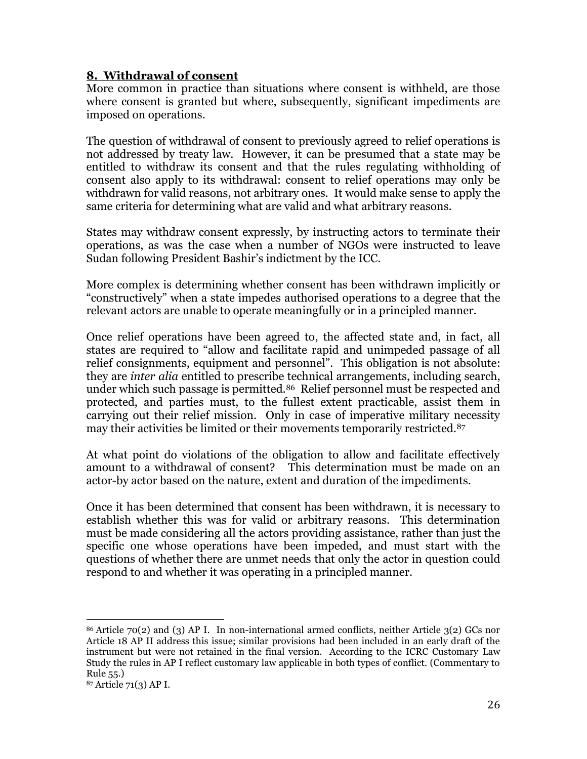## **8. Withdrawal of consent**

More common in practice than situations where consent is withheld, are those where consent is granted but where, subsequently, significant impediments are imposed on operations.

The question of withdrawal of consent to previously agreed to relief operations is not addressed by treaty law. However, it can be presumed that a state may be entitled to withdraw its consent and that the rules regulating withholding of consent also apply to its withdrawal: consent to relief operations may only be withdrawn for valid reasons, not arbitrary ones. It would make sense to apply the same criteria for determining what are valid and what arbitrary reasons.

States may withdraw consent expressly, by instructing actors to terminate their operations, as was the case when a number of NGOs were instructed to leave Sudan following President Bashir's indictment by the ICC.

More complex is determining whether consent has been withdrawn implicitly or "constructively" when a state impedes authorised operations to a degree that the relevant actors are unable to operate meaningfully or in a principled manner.

Once relief operations have been agreed to, the affected state and, in fact, all states are required to "allow and facilitate rapid and unimpeded passage of all relief consignments, equipment and personnel". This obligation is not absolute: they are *inter alia* entitled to prescribe technical arrangements, including search, under which such passage is permitted.<sup>86</sup> Relief personnel must be respected and protected, and parties must, to the fullest extent practicable, assist them in carrying out their relief mission. Only in case of imperative military necessity may their activities be limited or their movements temporarily restricted.<sup>87</sup>

At what point do violations of the obligation to allow and facilitate effectively amount to a withdrawal of consent? This determination must be made on an actor-by actor based on the nature, extent and duration of the impediments.

Once it has been determined that consent has been withdrawn, it is necessary to establish whether this was for valid or arbitrary reasons. This determination must be made considering all the actors providing assistance, rather than just the specific one whose operations have been impeded, and must start with the questions of whether there are unmet needs that only the actor in question could respond to and whether it was operating in a principled manner.

 $\overline{a}$ <sup>86</sup> Article 70(2) and (3) AP I. In non-international armed conflicts, neither Article 3(2) GCs nor Article 18 AP II address this issue; similar provisions had been included in an early draft of the instrument but were not retained in the final version. According to the ICRC Customary Law Study the rules in AP I reflect customary law applicable in both types of conflict. (Commentary to Rule 55.)

<sup>87</sup> Article 71(3) AP I.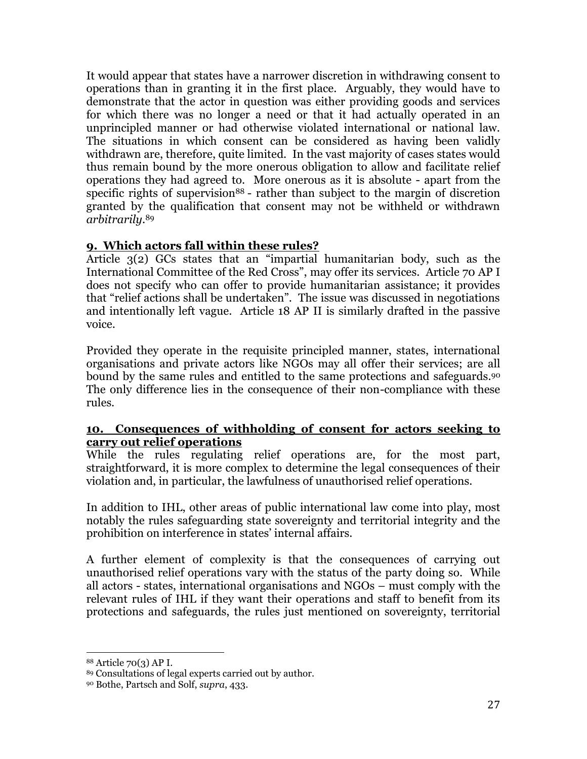It would appear that states have a narrower discretion in withdrawing consent to operations than in granting it in the first place. Arguably, they would have to demonstrate that the actor in question was either providing goods and services for which there was no longer a need or that it had actually operated in an unprincipled manner or had otherwise violated international or national law. The situations in which consent can be considered as having been validly withdrawn are, therefore, quite limited. In the vast majority of cases states would thus remain bound by the more onerous obligation to allow and facilitate relief operations they had agreed to. More onerous as it is absolute - apart from the specific rights of supervision<sup>88</sup> - rather than subject to the margin of discretion granted by the qualification that consent may not be withheld or withdrawn *arbitrarily*. 89

## **9. Which actors fall within these rules?**

Article 3(2) GCs states that an "impartial humanitarian body, such as the International Committee of the Red Cross", may offer its services. Article 70 AP I does not specify who can offer to provide humanitarian assistance; it provides that "relief actions shall be undertaken". The issue was discussed in negotiations and intentionally left vague. Article 18 AP II is similarly drafted in the passive voice.

Provided they operate in the requisite principled manner, states, international organisations and private actors like NGOs may all offer their services; are all bound by the same rules and entitled to the same protections and safeguards. <sup>90</sup> The only difference lies in the consequence of their non-compliance with these rules.

## **10. Consequences of withholding of consent for actors seeking to carry out relief operations**

While the rules regulating relief operations are, for the most part, straightforward, it is more complex to determine the legal consequences of their violation and, in particular, the lawfulness of unauthorised relief operations.

In addition to IHL, other areas of public international law come into play, most notably the rules safeguarding state sovereignty and territorial integrity and the prohibition on interference in states' internal affairs.

A further element of complexity is that the consequences of carrying out unauthorised relief operations vary with the status of the party doing so. While all actors - states, international organisations and NGOs – must comply with the relevant rules of IHL if they want their operations and staff to benefit from its protections and safeguards, the rules just mentioned on sovereignty, territorial

<sup>88</sup> Article 70(3) AP I.

<sup>89</sup> Consultations of legal experts carried out by author.

<sup>90</sup> Bothe, Partsch and Solf, *supra*, 433.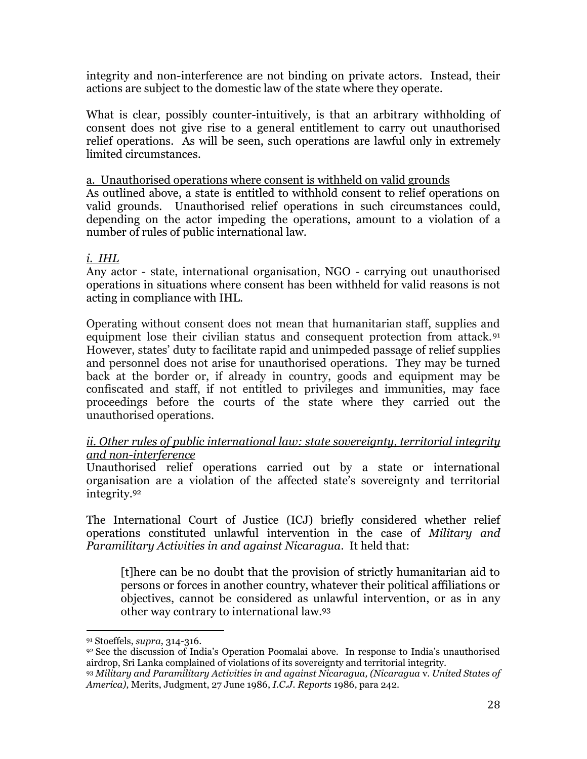integrity and non-interference are not binding on private actors. Instead, their actions are subject to the domestic law of the state where they operate.

What is clear, possibly counter-intuitively, is that an arbitrary withholding of consent does not give rise to a general entitlement to carry out unauthorised relief operations. As will be seen, such operations are lawful only in extremely limited circumstances.

a. Unauthorised operations where consent is withheld on valid grounds As outlined above, a state is entitled to withhold consent to relief operations on valid grounds. Unauthorised relief operations in such circumstances could, depending on the actor impeding the operations, amount to a violation of a number of rules of public international law.

## *i. IHL*

Any actor - state, international organisation, NGO - carrying out unauthorised operations in situations where consent has been withheld for valid reasons is not acting in compliance with IHL.

Operating without consent does not mean that humanitarian staff, supplies and equipment lose their civilian status and consequent protection from attack.<sup>91</sup> However, states' duty to facilitate rapid and unimpeded passage of relief supplies and personnel does not arise for unauthorised operations. They may be turned back at the border or, if already in country, goods and equipment may be confiscated and staff, if not entitled to privileges and immunities, may face proceedings before the courts of the state where they carried out the unauthorised operations.

## *ii. Other rules of public international law: state sovereignty, territorial integrity and non-interference*

Unauthorised relief operations carried out by a state or international organisation are a violation of the affected state's sovereignty and territorial integrity.<sup>92</sup>

The International Court of Justice (ICJ) briefly considered whether relief operations constituted unlawful intervention in the case of *Military and Paramilitary Activities in and against Nicaragua*. It held that:

[t]here can be no doubt that the provision of strictly humanitarian aid to persons or forces in another country, whatever their political affiliations or objectives, cannot be considered as unlawful intervention, or as in any other way contrary to international law. 93

 $\overline{a}$ <sup>91</sup> Stoeffels, *supra*, 314-316.

<sup>92</sup> See the discussion of India's Operation Poomalai above. In response to India's unauthorised airdrop, Sri Lanka complained of violations of its sovereignty and territorial integrity.

<sup>93</sup> *Military and Paramilitary Activities in and against Nicaragua, (Nicaragua* v. *United States of America),* Merits, Judgment, 27 June 1986, *I.C.J. Reports* 1986, para 242.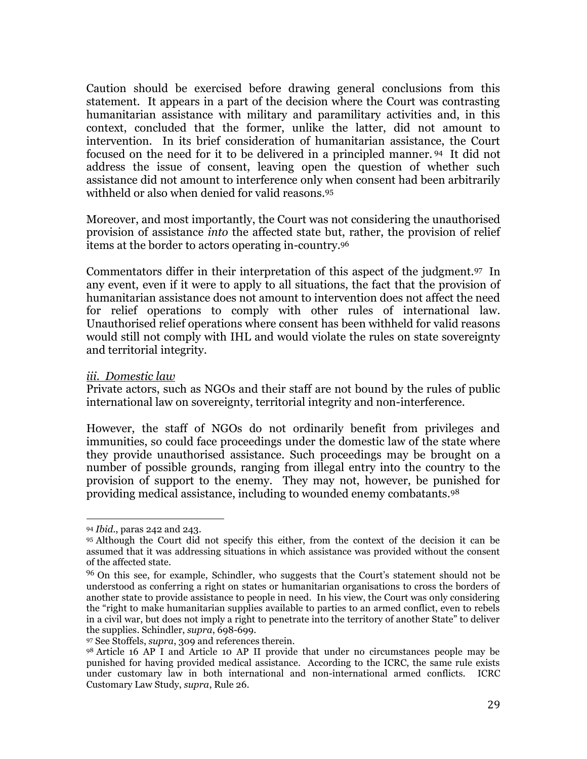Caution should be exercised before drawing general conclusions from this statement. It appears in a part of the decision where the Court was contrasting humanitarian assistance with military and paramilitary activities and, in this context, concluded that the former, unlike the latter, did not amount to intervention. In its brief consideration of humanitarian assistance, the Court focused on the need for it to be delivered in a principled manner. <sup>94</sup> It did not address the issue of consent, leaving open the question of whether such assistance did not amount to interference only when consent had been arbitrarily withheld or also when denied for valid reasons.<sup>95</sup>

Moreover, and most importantly, the Court was not considering the unauthorised provision of assistance *into* the affected state but, rather, the provision of relief items at the border to actors operating in-country.<sup>96</sup>

Commentators differ in their interpretation of this aspect of the judgment.97 In any event, even if it were to apply to all situations, the fact that the provision of humanitarian assistance does not amount to intervention does not affect the need for relief operations to comply with other rules of international law. Unauthorised relief operations where consent has been withheld for valid reasons would still not comply with IHL and would violate the rules on state sovereignty and territorial integrity.

#### *iii. Domestic law*

Private actors, such as NGOs and their staff are not bound by the rules of public international law on sovereignty, territorial integrity and non-interference.

However, the staff of NGOs do not ordinarily benefit from privileges and immunities, so could face proceedings under the domestic law of the state where they provide unauthorised assistance. Such proceedings may be brought on a number of possible grounds, ranging from illegal entry into the country to the provision of support to the enemy. They may not, however, be punished for providing medical assistance, including to wounded enemy combatants.<sup>98</sup>

<sup>94</sup> *Ibid*., paras 242 and 243.

<sup>95</sup> Although the Court did not specify this either, from the context of the decision it can be assumed that it was addressing situations in which assistance was provided without the consent of the affected state.

<sup>&</sup>lt;sup>96</sup> On this see, for example, Schindler, who suggests that the Court's statement should not be understood as conferring a right on states or humanitarian organisations to cross the borders of another state to provide assistance to people in need. In his view, the Court was only considering the "right to make humanitarian supplies available to parties to an armed conflict, even to rebels in a civil war, but does not imply a right to penetrate into the territory of another State" to deliver the supplies. Schindler, *supra*, 698-699.

<sup>97</sup> See Stoffels, *supra*, 309 and references therein.

<sup>98</sup> Article 16 AP I and Article 10 AP II provide that under no circumstances people may be punished for having provided medical assistance. According to the ICRC, the same rule exists under customary law in both international and non-international armed conflicts. ICRC Customary Law Study, *supra*, Rule 26.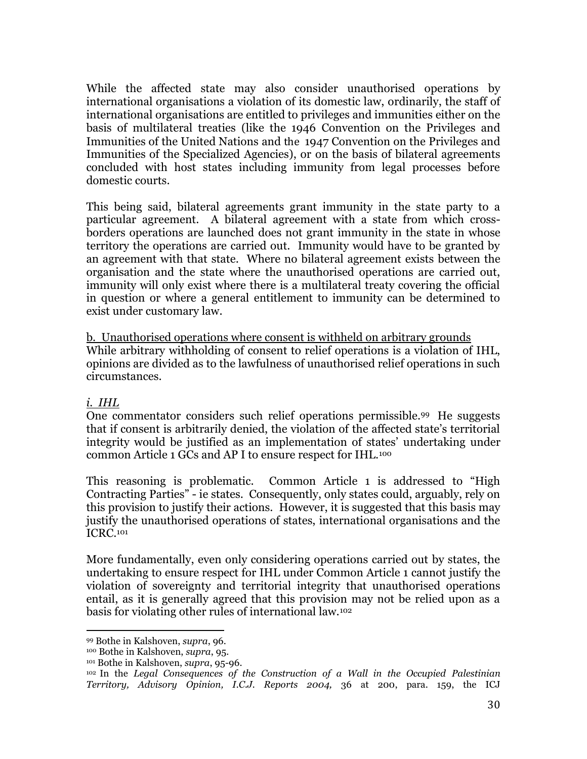While the affected state may also consider unauthorised operations by international organisations a violation of its domestic law, ordinarily, the staff of international organisations are entitled to privileges and immunities either on the basis of multilateral treaties (like the 1946 Convention on the Privileges and Immunities of the United Nations and the 1947 Convention on the Privileges and Immunities of the Specialized Agencies), or on the basis of bilateral agreements concluded with host states including immunity from legal processes before domestic courts.

This being said, bilateral agreements grant immunity in the state party to a particular agreement. A bilateral agreement with a state from which crossborders operations are launched does not grant immunity in the state in whose territory the operations are carried out. Immunity would have to be granted by an agreement with that state. Where no bilateral agreement exists between the organisation and the state where the unauthorised operations are carried out, immunity will only exist where there is a multilateral treaty covering the official in question or where a general entitlement to immunity can be determined to exist under customary law.

b. Unauthorised operations where consent is withheld on arbitrary grounds While arbitrary withholding of consent to relief operations is a violation of IHL, opinions are divided as to the lawfulness of unauthorised relief operations in such circumstances.

## *i. IHL*

 $\overline{a}$ 

One commentator considers such relief operations permissible.99 He suggests that if consent is arbitrarily denied, the violation of the affected state's territorial integrity would be justified as an implementation of states' undertaking under common Article 1 GCs and AP I to ensure respect for IHL.<sup>100</sup>

This reasoning is problematic. Common Article 1 is addressed to "High Contracting Parties" - ie states. Consequently, only states could, arguably, rely on this provision to justify their actions. However, it is suggested that this basis may justify the unauthorised operations of states, international organisations and the ICRC.<sup>101</sup>

More fundamentally, even only considering operations carried out by states, the undertaking to ensure respect for IHL under Common Article 1 cannot justify the violation of sovereignty and territorial integrity that unauthorised operations entail, as it is generally agreed that this provision may not be relied upon as a basis for violating other rules of international law.<sup>102</sup>

<sup>99</sup> Bothe in Kalshoven, *supra*, 96.

<sup>100</sup> Bothe in Kalshoven, *supra*, 95.

<sup>101</sup> Bothe in Kalshoven, *supra*, 95-96.

<sup>102</sup> In the *Legal Consequences of the Construction of a Wall in the Occupied Palestinian Territory, Advisory Opinion, I.C.J. Reports 2004,* 36 at 200, para. 159, the ICJ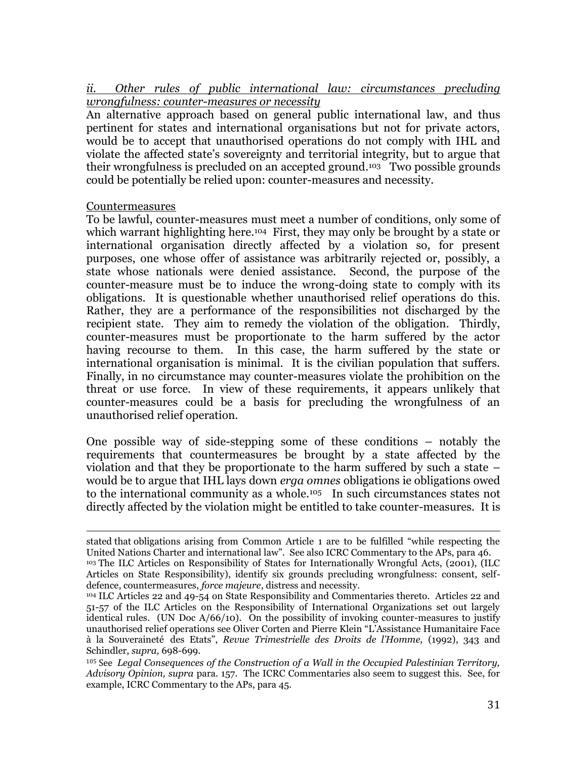*ii. Other rules of public international law: circumstances precluding wrongfulness: counter-measures or necessity*

An alternative approach based on general public international law, and thus pertinent for states and international organisations but not for private actors, would be to accept that unauthorised operations do not comply with IHL and violate the affected state's sovereignty and territorial integrity, but to argue that their wrongfulness is precluded on an accepted ground. <sup>103</sup> Two possible grounds could be potentially be relied upon: counter-measures and necessity.

## Countermeasures

To be lawful, counter-measures must meet a number of conditions, only some of which warrant highlighting here.<sup>104</sup> First, they may only be brought by a state or international organisation directly affected by a violation so, for present purposes, one whose offer of assistance was arbitrarily rejected or, possibly, a state whose nationals were denied assistance. Second, the purpose of the counter-measure must be to induce the wrong-doing state to comply with its obligations. It is questionable whether unauthorised relief operations do this. Rather, they are a performance of the responsibilities not discharged by the recipient state. They aim to remedy the violation of the obligation. Thirdly, counter-measures must be proportionate to the harm suffered by the actor having recourse to them. In this case, the harm suffered by the state or international organisation is minimal. It is the civilian population that suffers. Finally, in no circumstance may counter-measures violate the prohibition on the threat or use force. In view of these requirements, it appears unlikely that counter-measures could be a basis for precluding the wrongfulness of an unauthorised relief operation.

One possible way of side-stepping some of these conditions – notably the requirements that countermeasures be brought by a state affected by the violation and that they be proportionate to the harm suffered by such a state – would be to argue that IHL lays down *erga omnes* obligations ie obligations owed to the international community as a whole.<sup>105</sup> In such circumstances states not directly affected by the violation might be entitled to take counter-measures. It is

 $\overline{a}$ stated that obligations arising from Common Article 1 are to be fulfilled "while respecting the United Nations Charter and international law". See also ICRC Commentary to the APs, para 46. <sup>103</sup> The ILC Articles on Responsibility of States for Internationally Wrongful Acts, (2001), (ILC Articles on State Responsibility), identify six grounds precluding wrongfulness: consent, selfdefence, countermeasures, *force majeure*, distress and necessity.

<sup>104</sup> ILC Articles 22 and 49-54 on State Responsibility and Commentaries thereto. Articles 22 and 51-57 of the ILC Articles on the Responsibility of International Organizations set out largely identical rules. (UN Doc  $A/66/10$ ). On the possibility of invoking counter-measures to justify unauthorised relief operations see Oliver Corten and Pierre Klein "L'Assistance Humanitaire Face à la Souveraineté des Etats", *Revue Trimestrielle des Droits de l'Homme,* (1992), 343 and Schindler, *supra,* 698-699.

<sup>105</sup> See *Legal Consequences of the Construction of a Wall in the Occupied Palestinian Territory, Advisory Opinion, supra* para. 157. The ICRC Commentaries also seem to suggest this. See, for example, ICRC Commentary to the APs, para 45.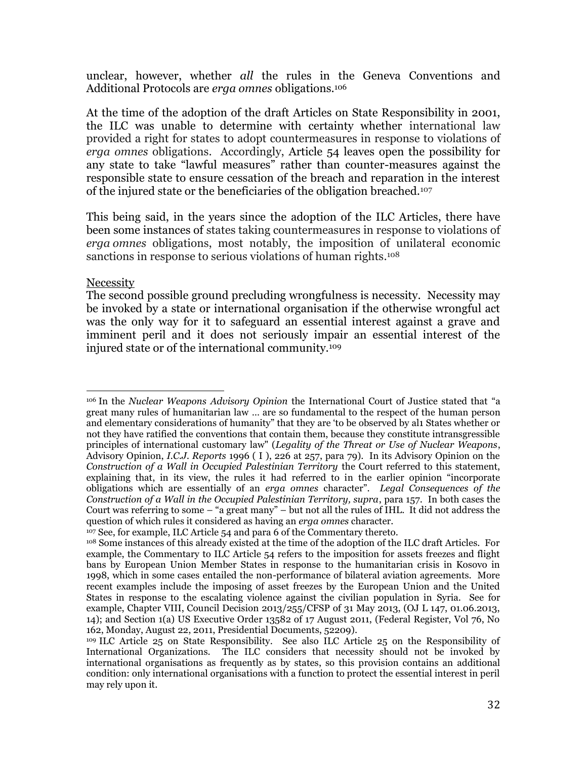unclear, however, whether *all* the rules in the Geneva Conventions and Additional Protocols are *erga omnes* obligations. 106

At the time of the adoption of the draft Articles on State Responsibility in 2001, the ILC was unable to determine with certainty whether international law provided a right for states to adopt countermeasures in response to violations of *erga omnes* obligations. Accordingly, Article 54 leaves open the possibility for any state to take "lawful measures" rather than counter-measures against the responsible state to ensure cessation of the breach and reparation in the interest of the injured state or the beneficiaries of the obligation breached.<sup>107</sup>

This being said, in the years since the adoption of the ILC Articles, there have been some instances of states taking countermeasures in response to violations of *erga omnes* obligations, most notably, the imposition of unilateral economic sanctions in response to serious violations of human rights. 108

## Necessity

The second possible ground precluding wrongfulness is necessity. Necessity may be invoked by a state or international organisation if the otherwise wrongful act was the only way for it to safeguard an essential interest against a grave and imminent peril and it does not seriously impair an essential interest of the injured state or of the international community.<sup>109</sup>

l <sup>106</sup> In the *Nuclear Weapons Advisory Opinion* the International Court of Justice stated that "a great many rules of humanitarian law … are so fundamental to the respect of the human person and elementary considerations of humanity" that they are 'to be observed by al1 States whether or not they have ratified the conventions that contain them, because they constitute intransgressible principles of international customary law" (*Legality of the Threat or Use of Nuclear Weapons*, Advisory Opinion, *I.C.J. Reports* 1996 ( I ), 226 at 257, para 79). In its Advisory Opinion on the *Construction of a Wall in Occupied Palestinian Territory* the Court referred to this statement, explaining that, in its view, the rules it had referred to in the earlier opinion "incorporate obligations which are essentially of an *erga omnes* character". *Legal Consequences of the Construction of a Wall in the Occupied Palestinian Territory, supra*, para 157. In both cases the Court was referring to some – "a great many" – but not all the rules of IHL. It did not address the question of which rules it considered as having an *erga omnes* character.

<sup>&</sup>lt;sup>107</sup> See, for example, ILC Article 54 and para 6 of the Commentary thereto.

<sup>108</sup> Some instances of this already existed at the time of the adoption of the ILC draft Articles. For example, the Commentary to ILC Article 54 refers to the imposition for assets freezes and flight bans by European Union Member States in response to the humanitarian crisis in Kosovo in 1998, which in some cases entailed the non-performance of bilateral aviation agreements. More recent examples include the imposing of asset freezes by the European Union and the United States in response to the escalating violence against the civilian population in Syria. See for example, Chapter VIII, Council Decision 2013/255/CFSP of 31 May 2013, (OJ L 147, 01.06.2013, 14); and Section 1(a) US Executive Order 13582 of 17 August 2011, (Federal Register, Vol 76, No 162, Monday, August 22, 2011, Presidential Documents, 52209).

<sup>109</sup> ILC Article 25 on State Responsibility. See also ILC Article 25 on the Responsibility of International Organizations. The ILC considers that necessity should not be invoked by international organisations as frequently as by states, so this provision contains an additional condition: only international organisations with a function to protect the essential interest in peril may rely upon it.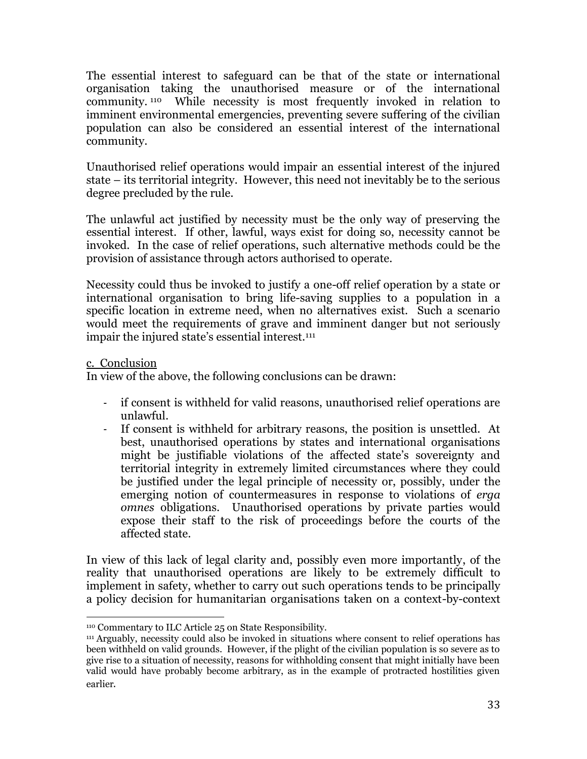The essential interest to safeguard can be that of the state or international organisation taking the unauthorised measure or of the international community. <sup>110</sup> While necessity is most frequently invoked in relation to imminent environmental emergencies, preventing severe suffering of the civilian population can also be considered an essential interest of the international community.

Unauthorised relief operations would impair an essential interest of the injured state – its territorial integrity. However, this need not inevitably be to the serious degree precluded by the rule.

The unlawful act justified by necessity must be the only way of preserving the essential interest. If other, lawful, ways exist for doing so, necessity cannot be invoked. In the case of relief operations, such alternative methods could be the provision of assistance through actors authorised to operate.

Necessity could thus be invoked to justify a one-off relief operation by a state or international organisation to bring life-saving supplies to a population in a specific location in extreme need, when no alternatives exist. Such a scenario would meet the requirements of grave and imminent danger but not seriously impair the injured state's essential interest.<sup>111</sup>

## c. Conclusion

In view of the above, the following conclusions can be drawn:

- if consent is withheld for valid reasons, unauthorised relief operations are unlawful.
- If consent is withheld for arbitrary reasons, the position is unsettled. At best, unauthorised operations by states and international organisations might be justifiable violations of the affected state's sovereignty and territorial integrity in extremely limited circumstances where they could be justified under the legal principle of necessity or, possibly, under the emerging notion of countermeasures in response to violations of *erga omnes* obligations. Unauthorised operations by private parties would expose their staff to the risk of proceedings before the courts of the affected state.

In view of this lack of legal clarity and, possibly even more importantly, of the reality that unauthorised operations are likely to be extremely difficult to implement in safety, whether to carry out such operations tends to be principally a policy decision for humanitarian organisations taken on a context-by-context

 $\overline{a}$ <sup>110</sup> Commentary to ILC Article 25 on State Responsibility.

<sup>111</sup> Arguably, necessity could also be invoked in situations where consent to relief operations has been withheld on valid grounds. However, if the plight of the civilian population is so severe as to give rise to a situation of necessity, reasons for withholding consent that might initially have been valid would have probably become arbitrary, as in the example of protracted hostilities given earlier.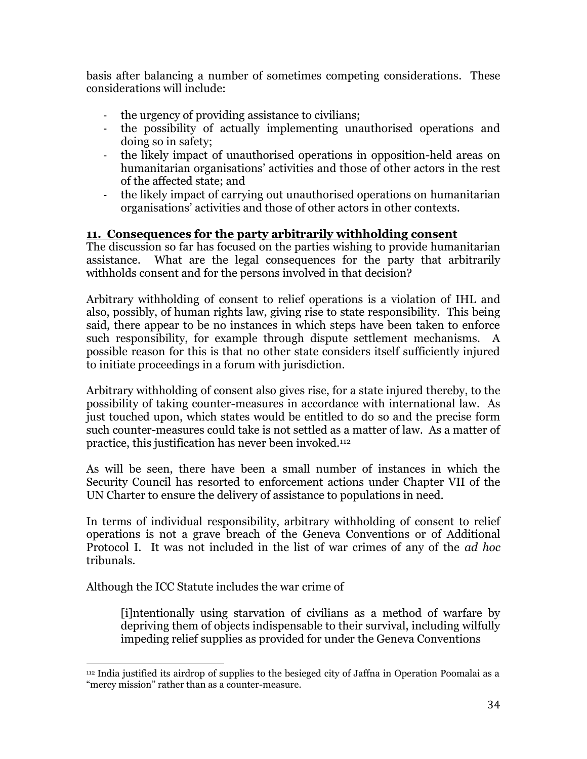basis after balancing a number of sometimes competing considerations. These considerations will include:

- the urgency of providing assistance to civilians;
- the possibility of actually implementing unauthorised operations and doing so in safety;
- the likely impact of unauthorised operations in opposition-held areas on humanitarian organisations' activities and those of other actors in the rest of the affected state; and
- the likely impact of carrying out unauthorised operations on humanitarian organisations' activities and those of other actors in other contexts.

## **11. Consequences for the party arbitrarily withholding consent**

The discussion so far has focused on the parties wishing to provide humanitarian assistance. What are the legal consequences for the party that arbitrarily withholds consent and for the persons involved in that decision?

Arbitrary withholding of consent to relief operations is a violation of IHL and also, possibly, of human rights law, giving rise to state responsibility. This being said, there appear to be no instances in which steps have been taken to enforce such responsibility, for example through dispute settlement mechanisms. A possible reason for this is that no other state considers itself sufficiently injured to initiate proceedings in a forum with jurisdiction.

Arbitrary withholding of consent also gives rise, for a state injured thereby, to the possibility of taking counter-measures in accordance with international law. As just touched upon, which states would be entitled to do so and the precise form such counter-measures could take is not settled as a matter of law. As a matter of practice, this justification has never been invoked.<sup>112</sup>

As will be seen, there have been a small number of instances in which the Security Council has resorted to enforcement actions under Chapter VII of the UN Charter to ensure the delivery of assistance to populations in need.

In terms of individual responsibility, arbitrary withholding of consent to relief operations is not a grave breach of the Geneva Conventions or of Additional Protocol I. It was not included in the list of war crimes of any of the *ad hoc*  tribunals.

Although the ICC Statute includes the war crime of

[i]ntentionally using starvation of civilians as a method of warfare by depriving them of objects indispensable to their survival, including wilfully impeding relief supplies as provided for under the Geneva Conventions

 $\overline{a}$ <sup>112</sup> India justified its airdrop of supplies to the besieged city of Jaffna in Operation Poomalai as a "mercy mission" rather than as a counter-measure.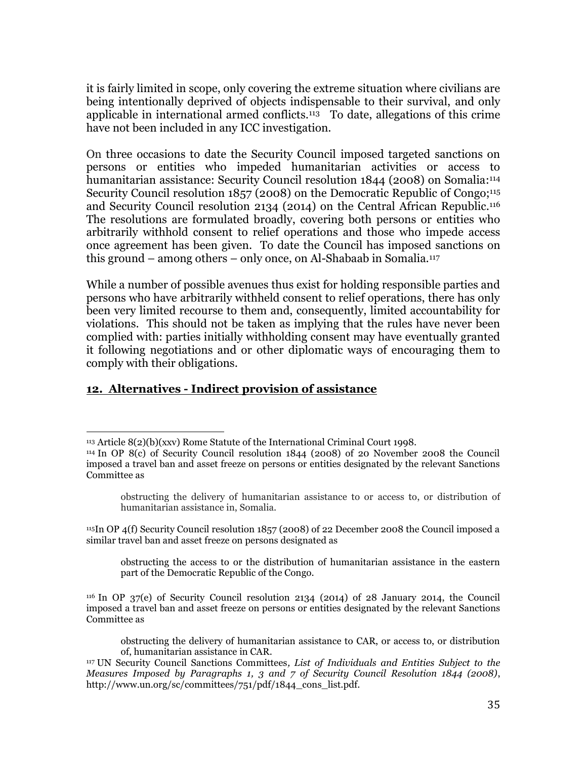it is fairly limited in scope, only covering the extreme situation where civilians are being intentionally deprived of objects indispensable to their survival, and only applicable in international armed conflicts. <sup>113</sup> To date, allegations of this crime have not been included in any ICC investigation.

On three occasions to date the Security Council imposed targeted sanctions on persons or entities who impeded humanitarian activities or access to humanitarian assistance: Security Council resolution 1844 (2008) on Somalia: 114 Security Council resolution 1857 (2008) on the Democratic Republic of Congo;<sup>115</sup> and Security Council resolution 2134 (2014) on the Central African Republic. 116 The resolutions are formulated broadly, covering both persons or entities who arbitrarily withhold consent to relief operations and those who impede access once agreement has been given. To date the Council has imposed sanctions on this ground – among others – only once, on Al-Shabaab in Somalia.<sup>117</sup>

While a number of possible avenues thus exist for holding responsible parties and persons who have arbitrarily withheld consent to relief operations, there has only been very limited recourse to them and, consequently, limited accountability for violations. This should not be taken as implying that the rules have never been complied with: parties initially withholding consent may have eventually granted it following negotiations and or other diplomatic ways of encouraging them to comply with their obligations.

## **12. Alternatives - Indirect provision of assistance**

l  $113$  Article  $8(2)(b)(xxv)$  Rome Statute of the International Criminal Court 1998.

<sup>114</sup> In OP 8(c) of Security Council resolution 1844 (2008) of 20 November 2008 the Council imposed a travel ban and asset freeze on persons or entities designated by the relevant Sanctions Committee as

obstructing the delivery of humanitarian assistance to or access to, or distribution of humanitarian assistance in, Somalia.

<sup>115</sup>In OP 4(f) Security Council resolution 1857 (2008) of 22 December 2008 the Council imposed a similar travel ban and asset freeze on persons designated as

obstructing the access to or the distribution of humanitarian assistance in the eastern part of the Democratic Republic of the Congo.

<sup>116</sup> In OP 37(e) of Security Council resolution 2134 (2014) of 28 January 2014, the Council imposed a travel ban and asset freeze on persons or entities designated by the relevant Sanctions Committee as

obstructing the delivery of humanitarian assistance to CAR, or access to, or distribution of, humanitarian assistance in CAR.

<sup>117</sup> UN Security Council Sanctions Committees*, List of Individuals and Entities Subject to the Measures Imposed by Paragraphs 1, 3 and 7 of Security Council Resolution 1844 (2008)*, http://www.un.org/sc/committees/751/pdf/1844\_cons\_list.pdf.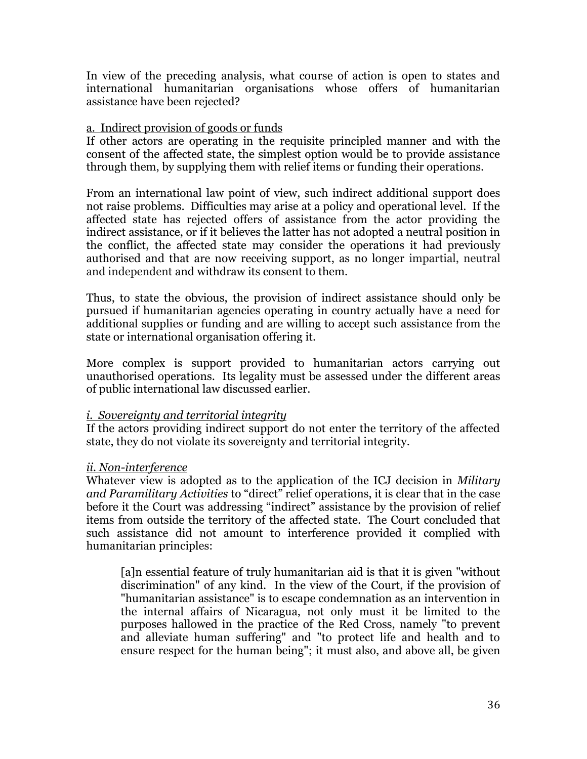In view of the preceding analysis, what course of action is open to states and international humanitarian organisations whose offers of humanitarian assistance have been rejected?

## a. Indirect provision of goods or funds

If other actors are operating in the requisite principled manner and with the consent of the affected state, the simplest option would be to provide assistance through them, by supplying them with relief items or funding their operations.

From an international law point of view, such indirect additional support does not raise problems. Difficulties may arise at a policy and operational level. If the affected state has rejected offers of assistance from the actor providing the indirect assistance, or if it believes the latter has not adopted a neutral position in the conflict, the affected state may consider the operations it had previously authorised and that are now receiving support, as no longer impartial, neutral and independent and withdraw its consent to them.

Thus, to state the obvious, the provision of indirect assistance should only be pursued if humanitarian agencies operating in country actually have a need for additional supplies or funding and are willing to accept such assistance from the state or international organisation offering it.

More complex is support provided to humanitarian actors carrying out unauthorised operations. Its legality must be assessed under the different areas of public international law discussed earlier.

## *i. Sovereignty and territorial integrity*

If the actors providing indirect support do not enter the territory of the affected state, they do not violate its sovereignty and territorial integrity.

## *ii. Non-interference*

Whatever view is adopted as to the application of the ICJ decision in *Military and Paramilitary Activities* to "direct" relief operations, it is clear that in the case before it the Court was addressing "indirect" assistance by the provision of relief items from outside the territory of the affected state. The Court concluded that such assistance did not amount to interference provided it complied with humanitarian principles:

[a]n essential feature of truly humanitarian aid is that it is given "without discrimination" of any kind. In the view of the Court, if the provision of "humanitarian assistance" is to escape condemnation as an intervention in the internal affairs of Nicaragua, not only must it be limited to the purposes hallowed in the practice of the Red Cross, namely "to prevent and alleviate human suffering" and "to protect life and health and to ensure respect for the human being"; it must also, and above all, be given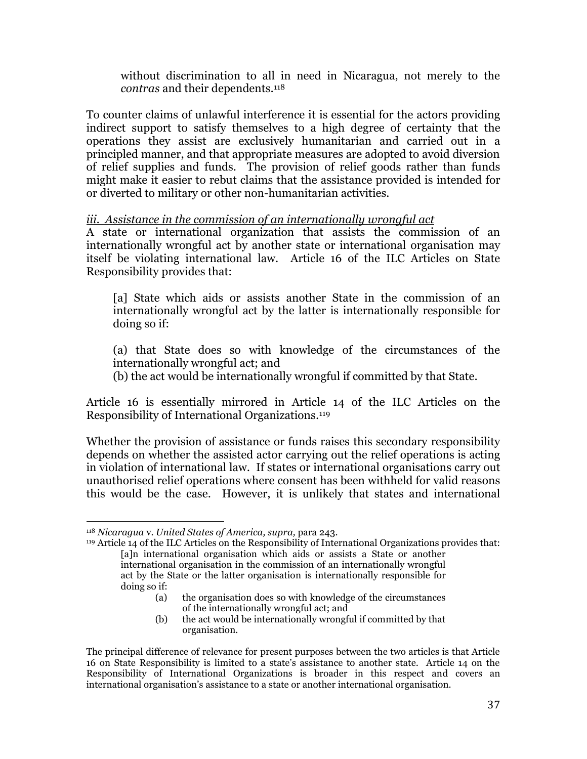without discrimination to all in need in Nicaragua, not merely to the *contras* and their dependents.<sup>118</sup>

To counter claims of unlawful interference it is essential for the actors providing indirect support to satisfy themselves to a high degree of certainty that the operations they assist are exclusively humanitarian and carried out in a principled manner, and that appropriate measures are adopted to avoid diversion of relief supplies and funds. The provision of relief goods rather than funds might make it easier to rebut claims that the assistance provided is intended for or diverted to military or other non-humanitarian activities.

## *iii. Assistance in the commission of an internationally wrongful act*

A state or international organization that assists the commission of an internationally wrongful act by another state or international organisation may itself be violating international law. Article 16 of the ILC Articles on State Responsibility provides that:

[a] State which aids or assists another State in the commission of an internationally wrongful act by the latter is internationally responsible for doing so if:

(a) that State does so with knowledge of the circumstances of the internationally wrongful act; and

(b) the act would be internationally wrongful if committed by that State.

Article 16 is essentially mirrored in Article 14 of the ILC Articles on the Responsibility of International Organizations.<sup>119</sup>

Whether the provision of assistance or funds raises this secondary responsibility depends on whether the assisted actor carrying out the relief operations is acting in violation of international law. If states or international organisations carry out unauthorised relief operations where consent has been withheld for valid reasons this would be the case. However, it is unlikely that states and international

<sup>119</sup> Article 14 of the ILC Articles on the Responsibility of International Organizations provides that: [a]n international organisation which aids or assists a State or another international organisation in the commission of an internationally wrongful act by the State or the latter organisation is internationally responsible for doing so if:

- (a) the organisation does so with knowledge of the circumstances of the internationally wrongful act; and
- (b) the act would be internationally wrongful if committed by that organisation.

 $\overline{a}$ <sup>118</sup> *Nicaragua* v. *United States of America, supra,* para 243.

The principal difference of relevance for present purposes between the two articles is that Article 16 on State Responsibility is limited to a state's assistance to another state. Article 14 on the Responsibility of International Organizations is broader in this respect and covers an international organisation's assistance to a state or another international organisation.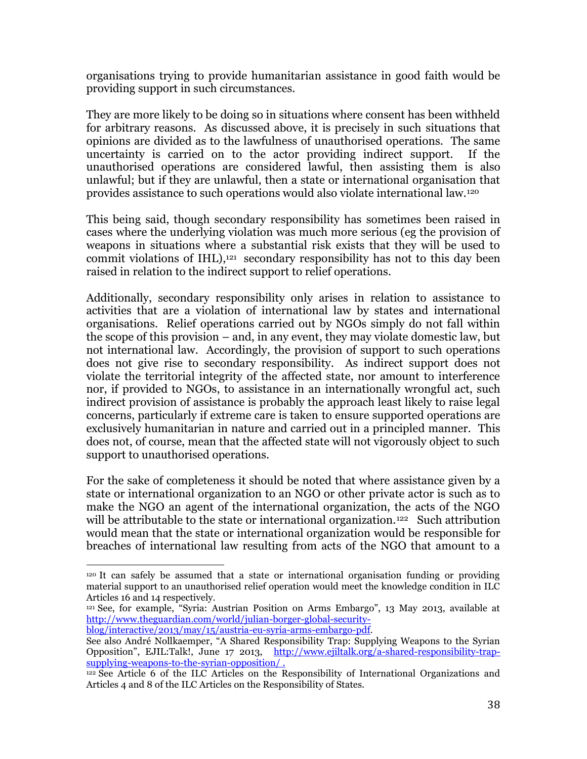organisations trying to provide humanitarian assistance in good faith would be providing support in such circumstances.

They are more likely to be doing so in situations where consent has been withheld for arbitrary reasons. As discussed above, it is precisely in such situations that opinions are divided as to the lawfulness of unauthorised operations. The same uncertainty is carried on to the actor providing indirect support. If the unauthorised operations are considered lawful, then assisting them is also unlawful; but if they are unlawful, then a state or international organisation that provides assistance to such operations would also violate international law.<sup>120</sup>

This being said, though secondary responsibility has sometimes been raised in cases where the underlying violation was much more serious (eg the provision of weapons in situations where a substantial risk exists that they will be used to commit violations of IHL), <sup>121</sup> secondary responsibility has not to this day been raised in relation to the indirect support to relief operations.

Additionally, secondary responsibility only arises in relation to assistance to activities that are a violation of international law by states and international organisations. Relief operations carried out by NGOs simply do not fall within the scope of this provision – and, in any event, they may violate domestic law, but not international law. Accordingly, the provision of support to such operations does not give rise to secondary responsibility. As indirect support does not violate the territorial integrity of the affected state, nor amount to interference nor, if provided to NGOs, to assistance in an internationally wrongful act, such indirect provision of assistance is probably the approach least likely to raise legal concerns, particularly if extreme care is taken to ensure supported operations are exclusively humanitarian in nature and carried out in a principled manner. This does not, of course, mean that the affected state will not vigorously object to such support to unauthorised operations.

For the sake of completeness it should be noted that where assistance given by a state or international organization to an NGO or other private actor is such as to make the NGO an agent of the international organization, the acts of the NGO will be attributable to the state or international organization.<sup>122</sup> Such attribution would mean that the state or international organization would be responsible for breaches of international law resulting from acts of the NGO that amount to a

[blog/interactive/2013/may/15/austria-eu-syria-arms-embargo-pdf.](http://www.theguardian.com/world/julian-borger-global-security-blog/interactive/2013/may/15/austria-eu-syria-arms-embargo-pdf) 

l <sup>120</sup> It can safely be assumed that a state or international organisation funding or providing material support to an unauthorised relief operation would meet the knowledge condition in ILC Articles 16 and 14 respectively.

<sup>121</sup> See, for example, "Syria: Austrian Position on Arms Embargo", 13 May 2013, available at [http://www.theguardian.com/world/julian-borger-global-security-](http://www.theguardian.com/world/julian-borger-global-security-blog/interactive/2013/may/15/austria-eu-syria-arms-embargo-pdf)

See also André Nollkaemper, "[A Shared Responsibility Trap: Supplying Weapons to the Syrian](http://www.ejiltalk.org/a-shared-responsibility-trap-supplying-weapons-to-the-syrian-opposition/)  [Opposition", EJIL:Talk!, June 17 2013,](http://www.ejiltalk.org/a-shared-responsibility-trap-supplying-weapons-to-the-syrian-opposition/) [http://www.ejiltalk.org/a-shared-responsibility-trap](http://www.ejiltalk.org/a-shared-responsibility-trap-supplying-weapons-to-the-syrian-opposition/)[supplying-weapons-to-the-syrian-opposition/](http://www.ejiltalk.org/a-shared-responsibility-trap-supplying-weapons-to-the-syrian-opposition/) .

<sup>&</sup>lt;sup>122</sup> See Article 6 of the ILC Articles on the Responsibility of International Organizations and Articles 4 and 8 of the ILC Articles on the Responsibility of States.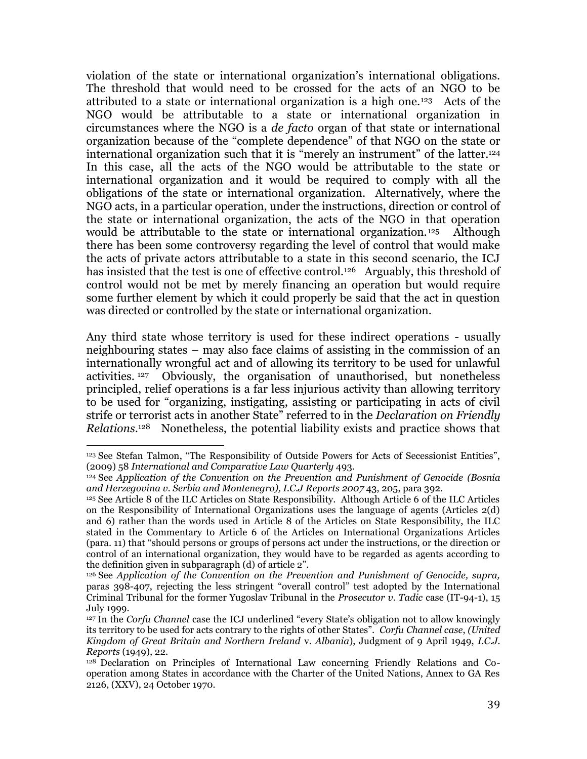violation of the state or international organization's international obligations. The threshold that would need to be crossed for the acts of an NGO to be attributed to a state or international organization is a high one.<sup>123</sup> Acts of the NGO would be attributable to a state or international organization in circumstances where the NGO is a *de facto* organ of that state or international organization because of the "complete dependence" of that NGO on the state or international organization such that it is "merely an instrument" of the latter.<sup>124</sup> In this case, all the acts of the NGO would be attributable to the state or international organization and it would be required to comply with all the obligations of the state or international organization. Alternatively, where the NGO acts, in a particular operation, under the instructions, direction or control of the state or international organization, the acts of the NGO in that operation would be attributable to the state or international organization.<sup>125</sup> Although there has been some controversy regarding the level of control that would make the acts of private actors attributable to a state in this second scenario, the ICJ has insisted that the test is one of effective control.<sup>126</sup> Arguably, this threshold of control would not be met by merely financing an operation but would require some further element by which it could properly be said that the act in question was directed or controlled by the state or international organization.

Any third state whose territory is used for these indirect operations - usually neighbouring states – may also face claims of assisting in the commission of an internationally wrongful act and of allowing its territory to be used for unlawful activities. <sup>127</sup> Obviously, the organisation of unauthorised, but nonetheless principled, relief operations is a far less injurious activity than allowing territory to be used for "organizing, instigating, assisting or participating in acts of civil strife or terrorist acts in another State" referred to in the *Declaration on Friendly Relations*. <sup>128</sup> Nonetheless, the potential liability exists and practice shows that

<sup>123</sup> See Stefan Talmon, "The Responsibility of Outside Powers for Acts of Secessionist Entities", (2009) 58 *International and Comparative Law Quarterly* 493.

<sup>124</sup> See *Application of the Convention on the Prevention and Punishment of Genocide (Bosnia and Herzegovina v. Serbia and Montenegro), I.C.J Reports 2007* 43, 205, para 392.

<sup>125</sup> See Article 8 of the ILC Articles on State Responsibility. Although Article 6 of the ILC Articles on the Responsibility of International Organizations uses the language of agents (Articles 2(d) and 6) rather than the words used in Article 8 of the Articles on State Responsibility, the ILC stated in the Commentary to Article 6 of the Articles on International Organizations Articles (para. 11) that "should persons or groups of persons act under the instructions, or the direction or control of an international organization, they would have to be regarded as agents according to the definition given in subparagraph (d) of article 2".

<sup>126</sup> See *Application of the Convention on the Prevention and Punishment of Genocide, supra,* paras 398-407, rejecting the less stringent "overall control" test adopted by the International Criminal Tribunal for the former Yugoslav Tribunal in the *Prosecutor v. Tadic* case (IT-94-1), 15 July 1999.

<sup>127</sup> In the *Corfu Channel* case the ICJ underlined "every State's obligation not to allow knowingly its territory to be used for acts contrary to the rights of other States". *Corfu Channel case*, *(United Kingdom of Great Britain and Northern Ireland* v. *Albania*), Judgment of 9 April 1949, *I.C.J. Reports* (1949), 22.

<sup>128</sup> Declaration on Principles of International Law concerning Friendly Relations and Cooperation among States in accordance with the Charter of the United Nations, Annex to GA Res 2126, (XXV), 24 October 1970.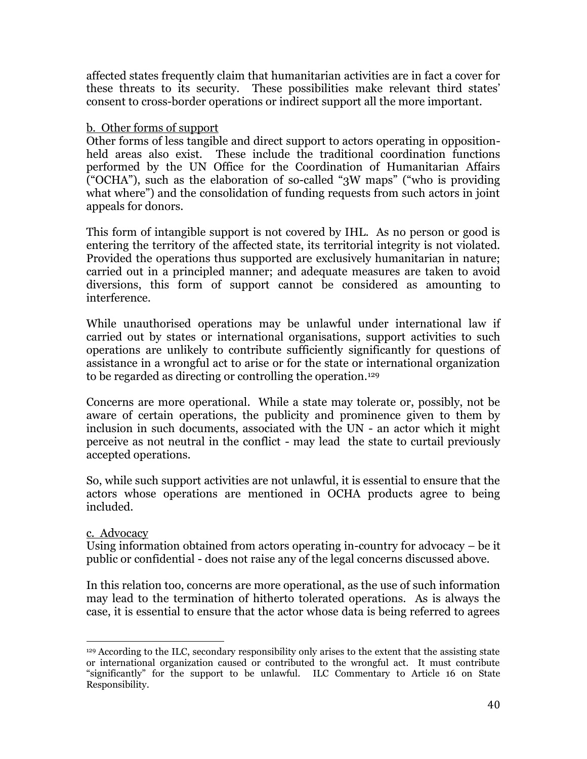affected states frequently claim that humanitarian activities are in fact a cover for these threats to its security. These possibilities make relevant third states' consent to cross-border operations or indirect support all the more important.

## b. Other forms of support

Other forms of less tangible and direct support to actors operating in oppositionheld areas also exist. These include the traditional coordination functions performed by the UN Office for the Coordination of Humanitarian Affairs ("OCHA"), such as the elaboration of so-called "3W maps" ("who is providing what where") and the consolidation of funding requests from such actors in joint appeals for donors.

This form of intangible support is not covered by IHL. As no person or good is entering the territory of the affected state, its territorial integrity is not violated. Provided the operations thus supported are exclusively humanitarian in nature; carried out in a principled manner; and adequate measures are taken to avoid diversions, this form of support cannot be considered as amounting to interference.

While unauthorised operations may be unlawful under international law if carried out by states or international organisations, support activities to such operations are unlikely to contribute sufficiently significantly for questions of assistance in a wrongful act to arise or for the state or international organization to be regarded as directing or controlling the operation. 129

Concerns are more operational. While a state may tolerate or, possibly, not be aware of certain operations, the publicity and prominence given to them by inclusion in such documents, associated with the UN - an actor which it might perceive as not neutral in the conflict - may lead the state to curtail previously accepted operations.

So, while such support activities are not unlawful, it is essential to ensure that the actors whose operations are mentioned in OCHA products agree to being included.

## c. Advocacy

Using information obtained from actors operating in-country for advocacy – be it public or confidential - does not raise any of the legal concerns discussed above.

In this relation too, concerns are more operational, as the use of such information may lead to the termination of hitherto tolerated operations. As is always the case, it is essential to ensure that the actor whose data is being referred to agrees

 $\overline{a}$ <sup>129</sup> According to the ILC, secondary responsibility only arises to the extent that the assisting state or international organization caused or contributed to the wrongful act. It must contribute "significantly" for the support to be unlawful. ILC Commentary to Article 16 on State Responsibility.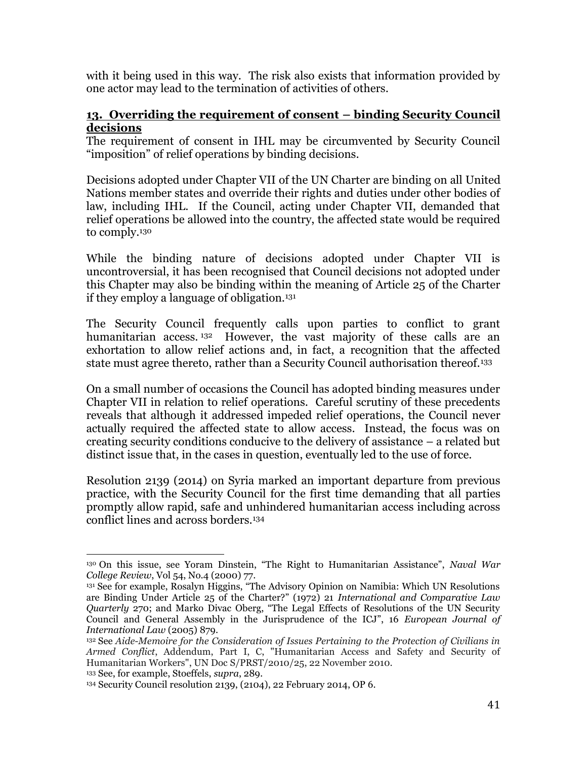with it being used in this way. The risk also exists that information provided by one actor may lead to the termination of activities of others.

## **13. Overriding the requirement of consent – binding Security Council decisions**

The requirement of consent in IHL may be circumvented by Security Council "imposition" of relief operations by binding decisions.

Decisions adopted under Chapter VII of the UN Charter are binding on all United Nations member states and override their rights and duties under other bodies of law, including IHL. If the Council, acting under Chapter VII, demanded that relief operations be allowed into the country, the affected state would be required to comply.<sup>130</sup>

While the binding nature of decisions adopted under Chapter VII is uncontroversial, it has been recognised that Council decisions not adopted under this Chapter may also be binding within the meaning of Article 25 of the Charter if they employ a language of obligation.<sup>131</sup>

The Security Council frequently calls upon parties to conflict to grant humanitarian access.<sup>132</sup> However, the vast majority of these calls are an exhortation to allow relief actions and, in fact, a recognition that the affected state must agree thereto, rather than a Security Council authorisation thereof.<sup>133</sup>

On a small number of occasions the Council has adopted binding measures under Chapter VII in relation to relief operations. Careful scrutiny of these precedents reveals that although it addressed impeded relief operations, the Council never actually required the affected state to allow access. Instead, the focus was on creating security conditions conducive to the delivery of assistance – a related but distinct issue that, in the cases in question, eventually led to the use of force.

Resolution 2139 (2014) on Syria marked an important departure from previous practice, with the Security Council for the first time demanding that all parties promptly allow rapid, safe and unhindered humanitarian access including across conflict lines and across borders.<sup>134</sup>

 $\overline{a}$ <sup>130</sup> On this issue, see Yoram Dinstein, "The Right to Humanitarian Assistance", *Naval War College Review*, Vol 54, No.4 (2000) 77.

<sup>&</sup>lt;sup>131</sup> See for example, Rosalyn Higgins, "The Advisory Opinion on Namibia: Which UN Resolutions are Binding Under Article 25 of the Charter?" (1972) 21 *International and Comparative Law Quarterly* 270; and Marko Divac Oberg, "The Legal Effects of Resolutions of the UN Security Council and General Assembly in the Jurisprudence of the ICJ", 16 *European Journal of International Law* (2005) 879.

<sup>132</sup> See *Aide-Memoire for the Consideration of Issues Pertaining to the Protection of Civilians in Armed Conflict*, Addendum, Part I, C, "Humanitarian Access and Safety and Security of Humanitarian Workers", UN Doc S/PRST/2010/25, 22 November 2010. <sup>133</sup> See, for example, Stoeffels, *supra*, 289*.*

<sup>134</sup> Security Council resolution 2139, (2104), 22 February 2014, OP 6.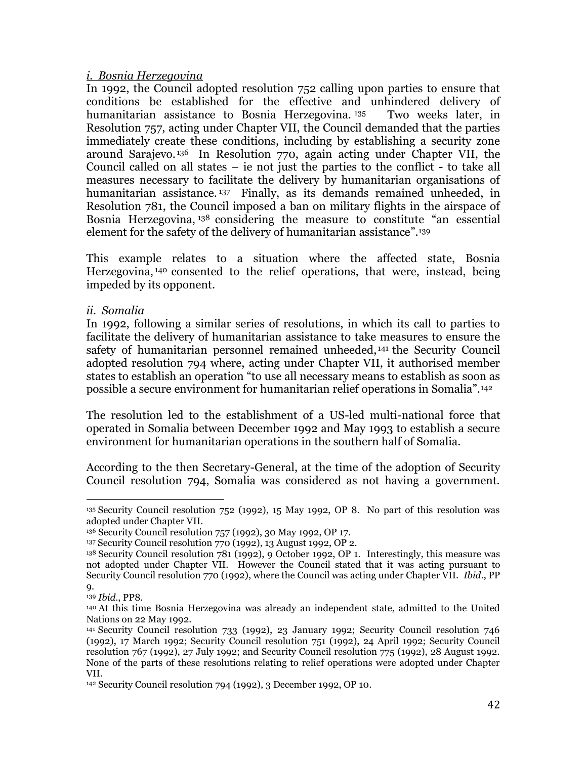## *i. Bosnia Herzegovina*

In 1992, the Council adopted resolution 752 calling upon parties to ensure that conditions be established for the effective and unhindered delivery of humanitarian assistance to Bosnia Herzegovina. <sup>135</sup> Two weeks later, in [Resolution 757,](http://www.un.org/documents/sc/res/1992/scres92.htm) acting under Chapter VII, the Council demanded that the parties immediately create these conditions, including by establishing a security zone around Sarajevo. <sup>136</sup> In [Resolution 770,](http://www.un.org/documents/sc/res/1992/scres92.htm) again acting under Chapter VII, the Council called on all states – ie not just the parties to the conflict - to take all measures necessary to facilitate the delivery by humanitarian organisations of humanitarian assistance.<sup>137</sup> Finally, as its demands remained unheeded, in [Resolution 781,](http://www.un.org/documents/sc/res/1992/scres92.htm) the Council imposed a ban on military flights in the airspace of Bosnia Herzegovina, <sup>138</sup> considering the measure to constitute "an essential element for the safety of the delivery of humanitarian assistance". 139

This example relates to a situation where the affected state, Bosnia Herzegovina, <sup>140</sup> consented to the relief operations, that were, instead, being impeded by its opponent.

## *ii. Somalia*

In 1992, following a similar series of resolutions, in which its call to parties to facilitate the delivery of humanitarian assistance to take measures to ensure the safety of humanitarian personnel remained unheeded, <sup>141</sup> the Security Council adopted resolution 794 where, acting under Chapter VII, it authorised member states to establish an operation "to use all necessary means to establish as soon as possible a secure environment for humanitarian relief operations in Somalia".<sup>142</sup>

The resolution led to the establishment of a US-led multi-national force that operated in Somalia between December 1992 and May 1993 to establish a secure environment for humanitarian operations in the southern half of Somalia.

According to the then Secretary-General, at the time of the adoption of Security Council resolution 794, Somalia was considered as not having a government.

 $\overline{a}$ <sup>135</sup> Security Council resolution 752 (1992), 15 May 1992, OP 8. No part of this resolution was adopted under Chapter VII.

<sup>136</sup> Security Council resolution 757 (1992), 30 May 1992, OP 17.

<sup>137</sup> Security Council resolution 770 (1992), 13 August 1992, OP 2.

<sup>138</sup> Security Council resolution 781 (1992), 9 October 1992, OP 1. Interestingly, this measure was not adopted under Chapter VII. However the Council stated that it was acting pursuant to Security Council resolution 770 (1992), where the Council was acting under Chapter VII. *Ibid*., PP 9.

<sup>139</sup> *Ibid*., PP8.

<sup>140</sup> At this time Bosnia Herzegovina was already an independent state, admitted to the United Nations on 22 May 1992.

<sup>141</sup> Security Council resolution 733 (1992), 23 January 1992; Security Council resolution 746 (1992), 17 March 1992; Security Council resolution 751 (1992), 24 April 1992; Security Council resolution 767 (1992), 27 July 1992; and Security Council resolution 775 (1992), 28 August 1992. None of the parts of these resolutions relating to relief operations were adopted under Chapter VII.

<sup>142</sup> Security Council resolution 794 (1992), 3 December 1992, OP 10.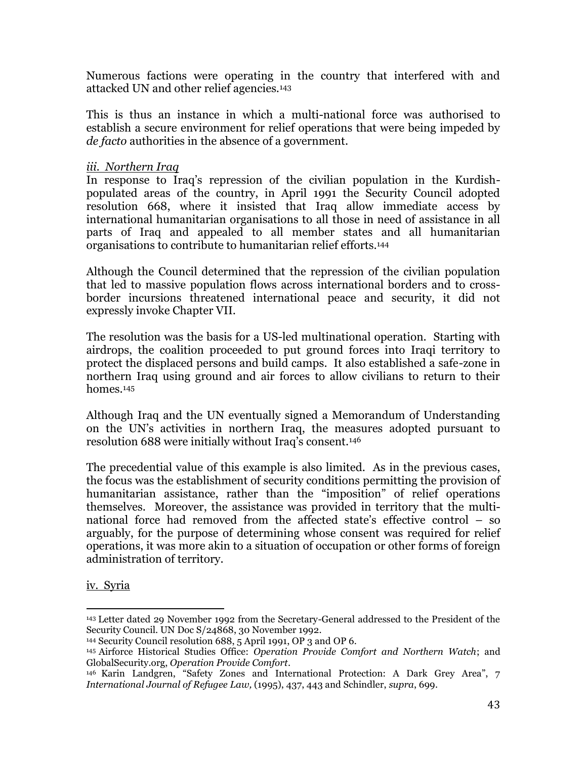Numerous factions were operating in the country that interfered with and attacked UN and other relief agencies.<sup>143</sup>

This is thus an instance in which a multi-national force was authorised to establish a secure environment for relief operations that were being impeded by *de facto* authorities in the absence of a government.

## *iii. Northern Iraq*

In response to Iraq's repression of the civilian population in the Kurdishpopulated areas of the country, in April 1991 the Security Council adopted resolution 668, where it insisted that Iraq allow immediate access by international humanitarian organisations to all those in need of assistance in all parts of Iraq and appealed to all member states and all humanitarian organisations to contribute to humanitarian relief efforts.<sup>144</sup>

Although the Council determined that the repression of the civilian population that led to massive population flows across international borders and to crossborder incursions threatened international peace and security, it did not expressly invoke Chapter VII.

The resolution was the basis for a US-led multinational operation. Starting with airdrops, the coalition proceeded to put ground forces into Iraqi territory to protect the displaced persons and build camps. It also established a safe-zone in northern Iraq using ground and air forces to allow civilians to return to their homes.<sup>145</sup>

Although Iraq and the UN eventually signed a Memorandum of Understanding on the UN's activities in northern Iraq, the measures adopted pursuant to resolution 688 were initially without Iraq's consent.<sup>146</sup>

The precedential value of this example is also limited. As in the previous cases, the focus was the establishment of security conditions permitting the provision of humanitarian assistance, rather than the "imposition" of relief operations themselves. Moreover, the assistance was provided in territory that the multinational force had removed from the affected state's effective control – so arguably, for the purpose of determining whose consent was required for relief operations, it was more akin to a situation of occupation or other forms of foreign administration of territory.

iv. Syria

 $\overline{a}$ <sup>143</sup> Letter dated 29 November 1992 from the Secretary-General addressed to the President of the Security Council. UN Doc S/24868, 30 November 1992.

<sup>144</sup> Security Council resolution 688, 5 April 1991, OP 3 and OP 6.

<sup>145</sup> Airforce Historical Studies Office: *Operation Provide Comfort and Northern Watch*; and GlobalSecurity.org, *Operation Provide Comfort*.

<sup>146</sup> Karin Landgren, "Safety Zones and International Protection: A Dark Grey Area", 7 *International Journal of Refugee Law,* (1995), 437, 443 and Schindler, *supra*, 699.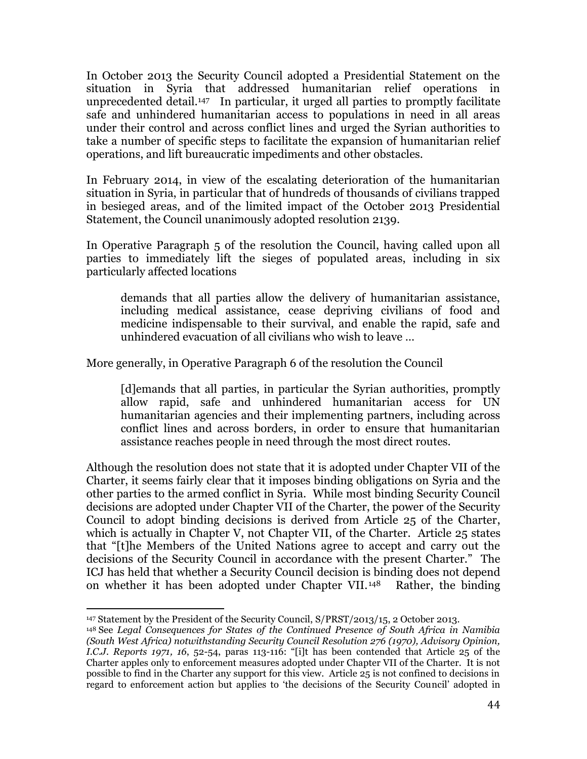In October 2013 the Security Council adopted a Presidential Statement on the situation in Syria that addressed humanitarian relief operations in unprecedented detail.147 In particular, it urged all parties to promptly facilitate safe and unhindered humanitarian access to populations in need in all areas under their control and across conflict lines and urged the Syrian authorities to take a number of specific steps to facilitate the expansion of humanitarian relief operations, and lift bureaucratic impediments and other obstacles.

In February 2014, in view of the escalating deterioration of the humanitarian situation in Syria, in particular that of hundreds of thousands of civilians trapped in besieged areas, and of the limited impact of the October 2013 Presidential Statement, the Council unanimously adopted resolution 2139.

In Operative Paragraph 5 of the resolution the Council, having called upon all parties to immediately lift the sieges of populated areas, including in six particularly affected locations

demands that all parties allow the delivery of humanitarian assistance, including medical assistance, cease depriving civilians of food and medicine indispensable to their survival, and enable the rapid, safe and unhindered evacuation of all civilians who wish to leave …

More generally, in Operative Paragraph 6 of the resolution the Council

[d]emands that all parties, in particular the Syrian authorities, promptly allow rapid, safe and unhindered humanitarian access for UN humanitarian agencies and their implementing partners, including across conflict lines and across borders, in order to ensure that humanitarian assistance reaches people in need through the most direct routes.

Although the resolution does not state that it is adopted under Chapter VII of the Charter, it seems fairly clear that it imposes binding obligations on Syria and the other parties to the armed conflict in Syria. While most binding Security Council decisions are adopted under Chapter VII of the Charter, the power of the Security Council to adopt binding decisions is derived from Article 25 of the Charter, which is actually in Chapter V, not Chapter VII, of the Charter. Article 25 states that "[t]he Members of the United Nations agree to accept and carry out the decisions of the Security Council in accordance with the present Charter." The ICJ has held that whether a Security Council decision is binding does not depend on whether it has been adopted under Chapter VII.<sup>148</sup> Rather, the binding

 $\overline{a}$ <sup>147</sup> Statement by the President of the Security Council, S/PRST/2013/15, 2 October 2013.

<sup>148</sup> See *Legal Consequences for States of the Continued Presence of South Africa in Namibia (South West Africa) notwithstanding Security Council Resolution 276 (1970), Advisory Opinion, I.C.J. Reports 1971, 16*, 52-54, paras 113-116: "[i]t has been contended that Article 25 of the Charter apples only to enforcement measures adopted under Chapter VII of the Charter. It is not possible to find in the Charter any support for this view. Article 25 is not confined to decisions in regard to enforcement action but applies to 'the decisions of the Security Council' adopted in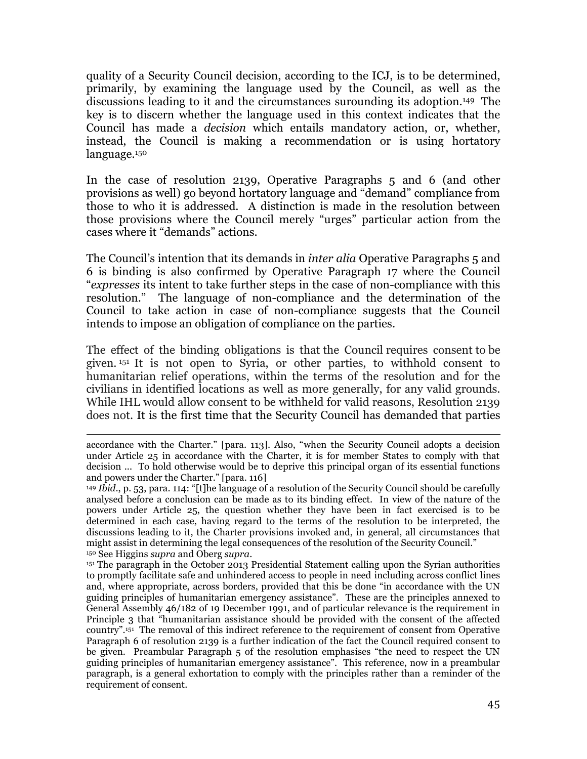quality of a Security Council decision, according to the ICJ, is to be determined, primarily, by examining the language used by the Council, as well as the discussions leading to it and the circumstances surounding its adoption.149 The key is to discern whether the language used in this context indicates that the Council has made a *decision* which entails mandatory action, or, whether, instead, the Council is making a recommendation or is using hortatory language.<sup>150</sup>

In the case of resolution 2139, Operative Paragraphs 5 and 6 (and other provisions as well) go beyond hortatory language and "demand" compliance from those to who it is addressed. A distinction is made in the resolution between those provisions where the Council merely "urges" particular action from the cases where it "demands" actions.

The Council's intention that its demands in *inter alia* Operative Paragraphs 5 and 6 is binding is also confirmed by Operative Paragraph 17 where the Council "*expresses* its intent to take further steps in the case of non-compliance with this resolution." The language of non-compliance and the determination of the Council to take action in case of non-compliance suggests that the Council intends to impose an obligation of compliance on the parties.

The effect of the binding obligations is that the Council requires consent to be given. <sup>151</sup> It is not open to Syria, or other parties, to withhold consent to humanitarian relief operations, within the terms of the resolution and for the civilians in identified locations as well as more generally, for any valid grounds. While IHL would allow consent to be withheld for valid reasons, Resolution 2139 does not. It is the first time that the Security Council has demanded that parties

 $\overline{a}$ accordance with the Charter." [para. 113]. Also, "when the Security Council adopts a decision under Article 25 in accordance with the Charter, it is for member States to comply with that decision ... To hold otherwise would be to deprive this principal organ of its essential functions and powers under the Charter." [para. 116]

<sup>149</sup> *Ibid*., p. 53, para. 114: "[t]he language of a resolution of the Security Council should be carefully analysed before a conclusion can be made as to its binding effect. In view of the nature of the powers under Article 25, the question whether they have been in fact exercised is to be determined in each case, having regard to the terms of the resolution to be interpreted, the discussions leading to it, the Charter provisions invoked and, in general, all circumstances that might assist in determining the legal consequences of the resolution of the Security Council." <sup>150</sup> See Higgins *supra* and Oberg *supra*.

<sup>151</sup> The paragraph in the October 2013 Presidential Statement calling upon the Syrian authorities to promptly facilitate safe and unhindered access to people in need including across conflict lines and, where appropriate, across borders, provided that this be done "in accordance with the UN guiding principles of humanitarian emergency assistance". These are the principles annexed to General Assembly 46/182 of 19 December 1991, and of particular relevance is the requirement in Principle 3 that "humanitarian assistance should be provided with the consent of the affected country".<sup>151</sup> The removal of this indirect reference to the requirement of consent from Operative Paragraph 6 of resolution 2139 is a further indication of the fact the Council required consent to be given. Preambular Paragraph 5 of the resolution emphasises "the need to respect the UN guiding principles of humanitarian emergency assistance". This reference, now in a preambular paragraph, is a general exhortation to comply with the principles rather than a reminder of the requirement of consent.